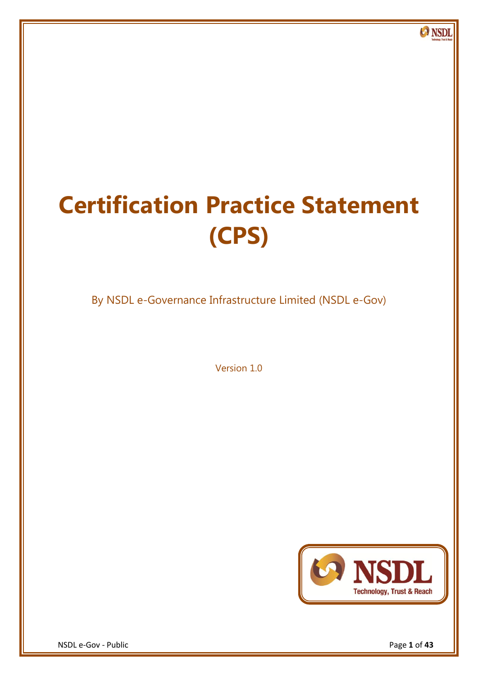# **Certification Practice Statement (CPS)**

By NSDL e-Governance Infrastructure Limited (NSDL e-Gov)

Version 1.0



**O** NSDL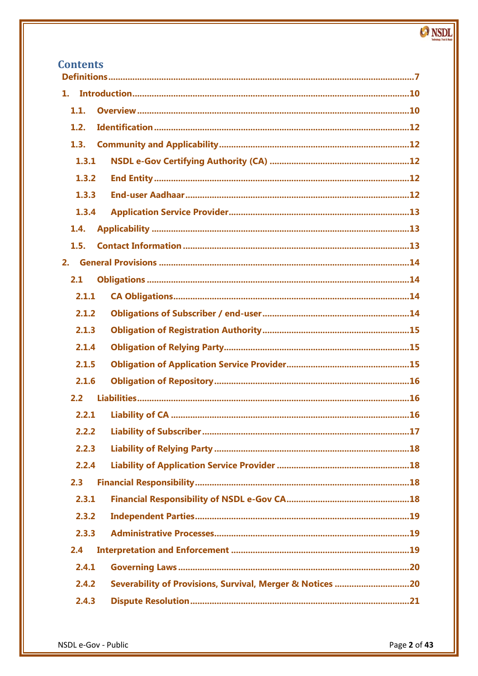# **Contents**

| 1.    |                                                           |  |  |
|-------|-----------------------------------------------------------|--|--|
| 1.1.  |                                                           |  |  |
| 1.2.  |                                                           |  |  |
| 1.3.  |                                                           |  |  |
| 1.3.1 |                                                           |  |  |
| 1.3.2 |                                                           |  |  |
| 1.3.3 |                                                           |  |  |
| 1.3.4 |                                                           |  |  |
| 1.4.  |                                                           |  |  |
| 1.5.  |                                                           |  |  |
| 2.    |                                                           |  |  |
| 2.1   |                                                           |  |  |
| 2.1.1 |                                                           |  |  |
| 2.1.2 |                                                           |  |  |
| 2.1.3 |                                                           |  |  |
| 2.1.4 |                                                           |  |  |
| 2.1.5 |                                                           |  |  |
| 2.1.6 |                                                           |  |  |
| 2.2   |                                                           |  |  |
| 2.2.1 |                                                           |  |  |
|       |                                                           |  |  |
| 2.2.3 |                                                           |  |  |
| 2.2.4 |                                                           |  |  |
| 2.3   |                                                           |  |  |
| 2.3.1 |                                                           |  |  |
| 2.3.2 |                                                           |  |  |
| 2.3.3 |                                                           |  |  |
| 2.4   |                                                           |  |  |
| 2.4.1 |                                                           |  |  |
| 2.4.2 | Severability of Provisions, Survival, Merger & Notices 20 |  |  |
| 2.4.3 |                                                           |  |  |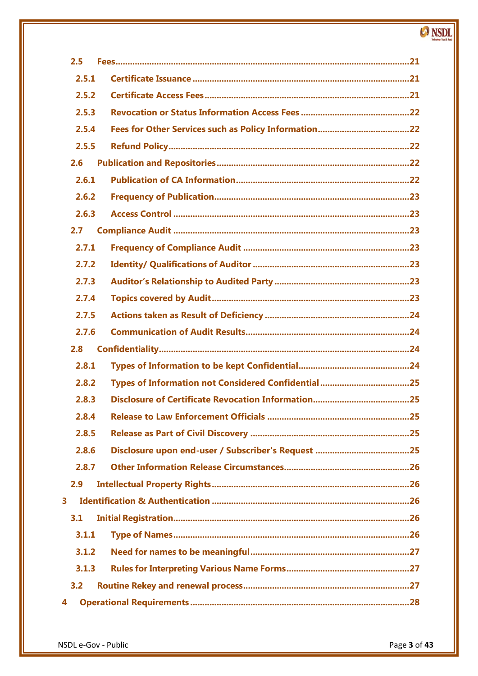| 2.5   |  |
|-------|--|
| 2.5.1 |  |
| 2.5.2 |  |
| 2.5.3 |  |
| 2.5.4 |  |
| 2.5.5 |  |
| 2.6   |  |
| 2.6.1 |  |
| 2.6.2 |  |
| 2.6.3 |  |
| 2.7   |  |
| 2.7.1 |  |
| 2.7.2 |  |
| 2.7.3 |  |
| 2.7.4 |  |
| 2.7.5 |  |
| 2.7.6 |  |
| 2.8   |  |
| 2.8.1 |  |
| 2.8.2 |  |
| 2.8.3 |  |
|       |  |
| 2.8.5 |  |
| 2.8.6 |  |
| 2.8.7 |  |
| 2.9   |  |
| 3     |  |
| 3.1   |  |
| 3.1.1 |  |
| 3.1.2 |  |
| 3.1.3 |  |
| 3.2   |  |
| 4     |  |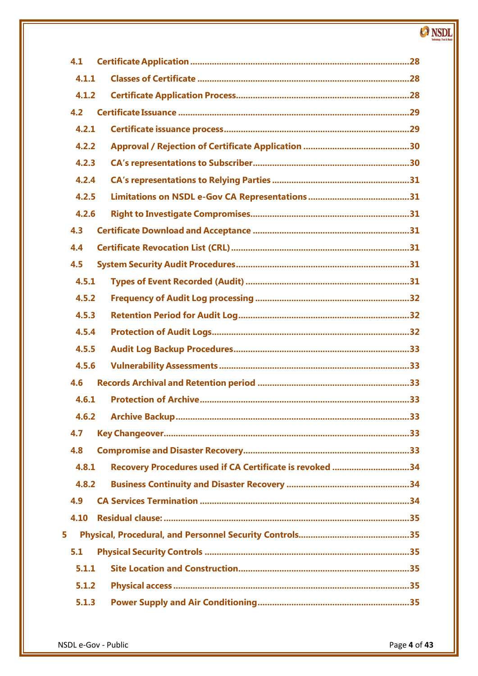| 4.1                                                               |
|-------------------------------------------------------------------|
| 4.1.1                                                             |
| 4.1.2                                                             |
| 4.2                                                               |
| 4.2.1                                                             |
| 4.2.2                                                             |
| 4.2.3                                                             |
| 4.2.4                                                             |
| 4.2.5                                                             |
| 4.2.6                                                             |
| 4.3                                                               |
| 4.4                                                               |
| 4.5                                                               |
| 4.5.1                                                             |
| 4.5.2                                                             |
| 4.5.3                                                             |
| 4.5.4                                                             |
| 4.5.5                                                             |
| 4.5.6                                                             |
| 4.6                                                               |
| 4.6.1                                                             |
|                                                                   |
| 4.7                                                               |
| 4.8                                                               |
| Recovery Procedures used if CA Certificate is revoked 34<br>4.8.1 |
| 4.8.2                                                             |
| 4.9                                                               |
| 4.10                                                              |
| 5                                                                 |
| 5.1                                                               |
| 5.1.1                                                             |
| 5.1.2                                                             |
| 5.1.3                                                             |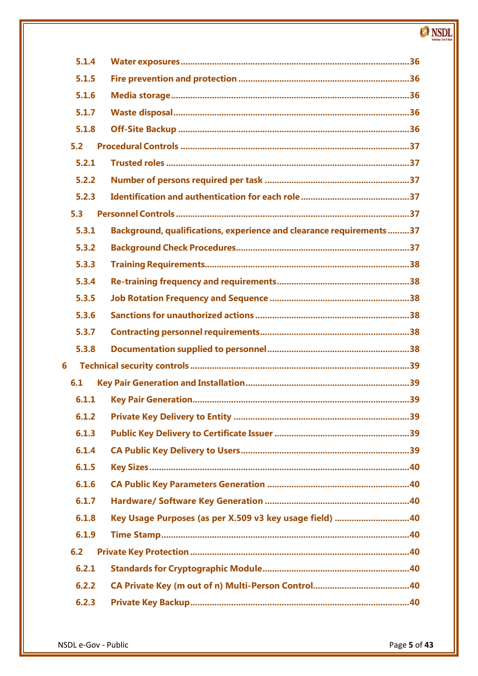| 5.1.4 |                                                                     |
|-------|---------------------------------------------------------------------|
| 5.1.5 |                                                                     |
| 5.1.6 |                                                                     |
| 5.1.7 |                                                                     |
| 5.1.8 |                                                                     |
| 5.2   |                                                                     |
| 5.2.1 |                                                                     |
| 5.2.2 |                                                                     |
| 5.2.3 |                                                                     |
| 5.3   |                                                                     |
| 5.3.1 | Background, qualifications, experience and clearance requirements37 |
| 5.3.2 |                                                                     |
| 5.3.3 |                                                                     |
| 5.3.4 |                                                                     |
| 5.3.5 |                                                                     |
| 5.3.6 |                                                                     |
| 5.3.7 |                                                                     |
| 5.3.8 |                                                                     |
| 6     |                                                                     |
| 6.1   |                                                                     |
| 6.1.1 |                                                                     |
|       |                                                                     |
| 6.1.3 |                                                                     |
| 6.1.4 |                                                                     |
| 6.1.5 |                                                                     |
| 6.1.6 |                                                                     |
| 6.1.7 |                                                                     |
| 6.1.8 | Key Usage Purposes (as per X.509 v3 key usage field) 40             |
| 6.1.9 |                                                                     |
| 6.2   |                                                                     |
| 6.2.1 |                                                                     |
| 6.2.2 |                                                                     |
| 6.2.3 |                                                                     |
|       |                                                                     |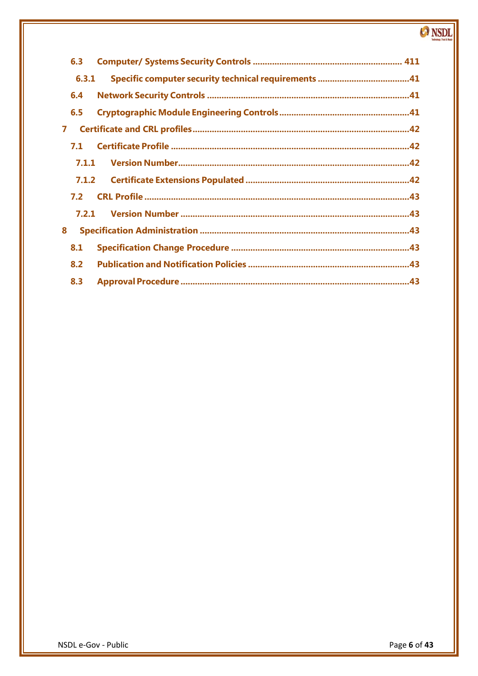| 6.3   |  |
|-------|--|
| 6.3.1 |  |
| 6.4   |  |
| 6.5   |  |
| 7     |  |
| 7.1   |  |
| 7.1.1 |  |
| 7.1.2 |  |
| 7.2   |  |
| 7.2.1 |  |
| 8     |  |
| 8.1   |  |
| 8.2   |  |
| 8.3   |  |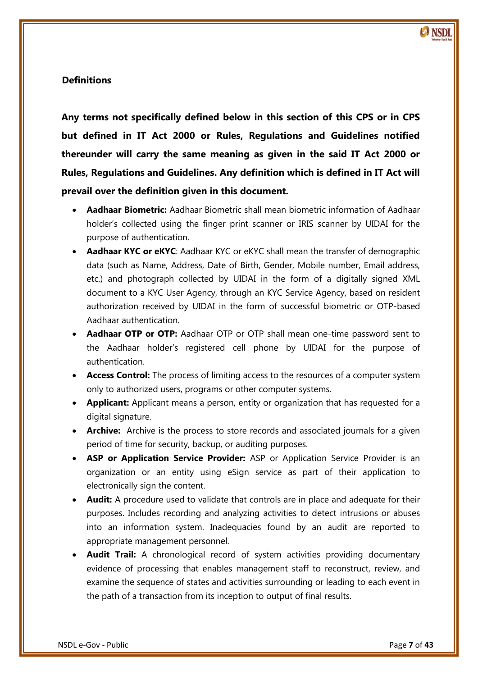# <span id="page-6-0"></span>**Definitions**

**Any terms not specifically defined below in this section of this CPS or in CPS but defined in IT Act 2000 or Rules, Regulations and Guidelines notified thereunder will carry the same meaning as given in the said IT Act 2000 or Rules, Regulations and Guidelines. Any definition which is defined in IT Act will prevail over the definition given in this document.**

- **Aadhaar Biometric:** Aadhaar Biometric shall mean biometric information of Aadhaar holder's collected using the finger print scanner or IRIS scanner by UIDAI for the purpose of authentication.
- **Aadhaar KYC or eKYC**: Aadhaar KYC or eKYC shall mean the transfer of demographic data (such as Name, Address, Date of Birth, Gender, Mobile number, Email address, etc.) and photograph collected by UIDAI in the form of a digitally signed XML document to a KYC User Agency, through an KYC Service Agency, based on resident authorization received by UIDAI in the form of successful biometric or OTP-based Aadhaar authentication.
- **Aadhaar OTP or OTP:** Aadhaar OTP or OTP shall mean one-time password sent to the Aadhaar holder's registered cell phone by UIDAI for the purpose of authentication.
- **Access Control:** The process of limiting access to the resources of a computer system only to authorized users, programs or other computer systems.
- **Applicant:** Applicant means a person, entity or organization that has requested for a digital signature.
- **Archive:** Archive is the process to store records and associated journals for a given period of time for security, backup, or auditing purposes.
- **ASP or Application Service Provider:** ASP or Application Service Provider is an organization or an entity using eSign service as part of their application to electronically sign the content.
- **Audit:** A procedure used to validate that controls are in place and adequate for their purposes. Includes recording and analyzing activities to detect intrusions or abuses into an information system. Inadequacies found by an audit are reported to appropriate management personnel.
- **Audit Trail:** A chronological record of system activities providing documentary evidence of processing that enables management staff to reconstruct, review, and examine the sequence of states and activities surrounding or leading to each event in the path of a transaction from its inception to output of final results.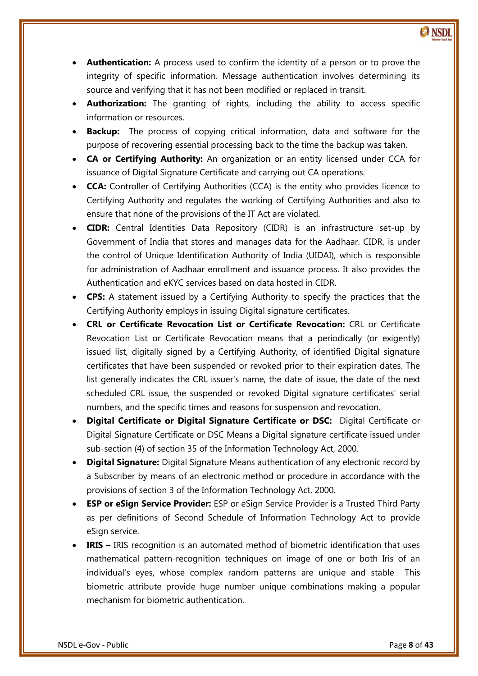- **Authentication:** A process used to confirm the identity of a person or to prove the integrity of specific information. Message authentication involves determining its source and verifying that it has not been modified or replaced in transit.
- **Authorization:** The granting of rights, including the ability to access specific information or resources.
- **Backup:** The process of copying critical information, data and software for the purpose of recovering essential processing back to the time the backup was taken.
- **CA or Certifying Authority:** An organization or an entity licensed under CCA for issuance of Digital Signature Certificate and carrying out CA operations.
- **CCA:** Controller of Certifying Authorities (CCA) is the entity who provides licence to Certifying Authority and regulates the working of Certifying Authorities and also to ensure that none of the provisions of the IT Act are violated.
- **CIDR:** Central Identities Data Repository (CIDR) is an infrastructure set-up by Government of India that stores and manages data for the Aadhaar. CIDR, is under the control of Unique Identification Authority of India (UIDAI), which is responsible for administration of Aadhaar enrollment and issuance process. It also provides the Authentication and eKYC services based on data hosted in CIDR.
- **CPS:** A statement issued by a Certifying Authority to specify the practices that the Certifying Authority employs in issuing Digital signature certificates.
- Revocation List or Certificate Revocation means that a periodically (or exigently) **CRL or Certificate Revocation List or Certificate Revocation:** CRL or Certificate issued list, digitally signed by a Certifying Authority, of identified Digital signature certificates that have been suspended or revoked prior to their expiration dates. The list generally indicates the CRL issuer's name, the date of issue, the date of the next scheduled CRL issue, the suspended or revoked Digital signature certificates' serial numbers, and the specific times and reasons for suspension and revocation.
- **Digital Certificate or Digital Signature Certificate or DSC:** Digital Certificate or Digital Signature Certificate or DSC Means a Digital signature certificate issued under sub-section (4) of section 35 of the Information Technology Act, 2000.
- **Digital Signature:** Digital Signature Means authentication of any electronic record by a Subscriber by means of an electronic method or procedure in accordance with the provisions of section 3 of the Information Technology Act, 2000.
- **ESP or eSign Service Provider:** ESP or eSign Service Provider is a Trusted Third Party as per definitions of Second Schedule of Information Technology Act to provide eSign service.
- **IRIS –** IRIS recognition is an automated method of biometric identification that uses mathematical pattern-recognition techniques on image of one or both Iris of an individual's eyes, whose complex random patterns are unique and stable This biometric attribute provide huge number unique combinations making a popular mechanism for biometric authentication.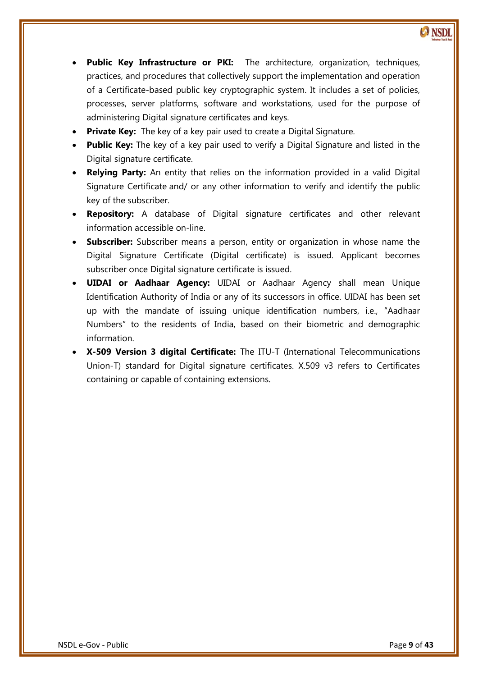- **Public Key Infrastructure or PKI:** The architecture, organization, techniques, practices, and procedures that collectively support the implementation and operation of a Certificate-based public key cryptographic system. It includes a set of policies, processes, server platforms, software and workstations, used for the purpose of administering Digital signature certificates and keys.
- **Private Key:** The key of a key pair used to create a Digital Signature.
- **Public Key:** The key of a key pair used to verify a Digital Signature and listed in the Digital signature certificate.
- **Relying Party:** An entity that relies on the information provided in a valid Digital Signature Certificate and/ or any other information to verify and identify the public key of the subscriber.
- **Repository:** A database of Digital signature certificates and other relevant information accessible on-line.
- **Subscriber:** Subscriber means a person, entity or organization in whose name the Digital Signature Certificate (Digital certificate) is issued. Applicant becomes subscriber once Digital signature certificate is issued.
- **UIDAI or Aadhaar Agency:** UIDAI or Aadhaar Agency shall mean Unique Identification Authority of India or any of its successors in office. UIDAI has been set up with the mandate of issuing unique identification numbers, i.e., 'Aadhaar Numbers' to the residents of India, based on their biometric and demographic information.
- **X-509 Version 3 digital Certificate:** The ITU-T (International Telecommunications Union-T) standard for Digital signature certificates. X.509 v3 refers to Certificates containing or capable of containing extensions.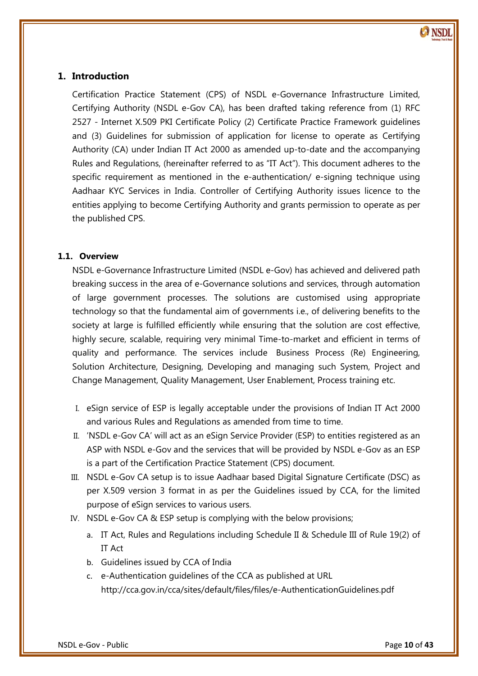# <span id="page-9-0"></span>**1. Introduction**

Certification Practice Statement (CPS) of NSDL e-Governance Infrastructure Limited, Certifying Authority (NSDL e-Gov CA), has been drafted taking reference from (1) RFC 2527 - Internet X.509 PKI Certificate Policy (2) Certificate Practice Framework guidelines and (3) Guidelines for submission of application for license to operate as Certifying Authority (CA) under Indian IT Act 2000 as amended up-to-date and the accompanying Rules and Regulations, (hereinafter referred to as 'IT Act'). This document adheres to the specific requirement as mentioned in the e-authentication/ e-signing technique using Aadhaar KYC Services in India. Controller of Certifying Authority issues licence to the entities applying to become Certifying Authority and grants permission to operate as per the published CPS.

# <span id="page-9-1"></span>**1.1. Overview**

 highly secure, scalable, requiring very minimal Time-to-market and efficient in terms of NSDL e-Governance Infrastructure Limited (NSDL e-Gov) has achieved and delivered path breaking success in the area of e-Governance solutions and services, through automation of large government processes. The solutions are customised using appropriate technology so that the fundamental aim of governments i.e., of delivering benefits to the society at large is fulfilled efficiently while ensuring that the solution are cost effective, quality and performance. The services include Business Process (Re) Engineering, Solution Architecture, Designing, Developing and managing such System, Project and Change Management, Quality Management, User Enablement, Process training etc.

- I. eSign service of ESP is legally acceptable under the provisions of Indian IT Act 2000 and various Rules and Regulations as amended from time to time.
- II. 'NSDL e-Gov CA' will act as an eSign Service Provider (ESP) to entities registered as an ASP with NSDL e-Gov and the services that will be provided by NSDL e-Gov as an ESP is a part of the Certification Practice Statement (CPS) document.
- III. NSDL e-Gov CA setup is to issue Aadhaar based Digital Signature Certificate (DSC) as per X.509 version 3 format in as per the Guidelines issued by CCA, for the limited purpose of eSign services to various users.
- IV. NSDL e-Gov CA & ESP setup is complying with the below provisions;
	- a. IT Act, Rules and Regulations including Schedule II & Schedule III of Rule 19(2) of IT Act
	- b. Guidelines issued by CCA of India
	- c. e-Authentication guidelines of the CCA as published at URL http://cca.gov.in/cca/sites/default/files/files/e-AuthenticationGuidelines.pdf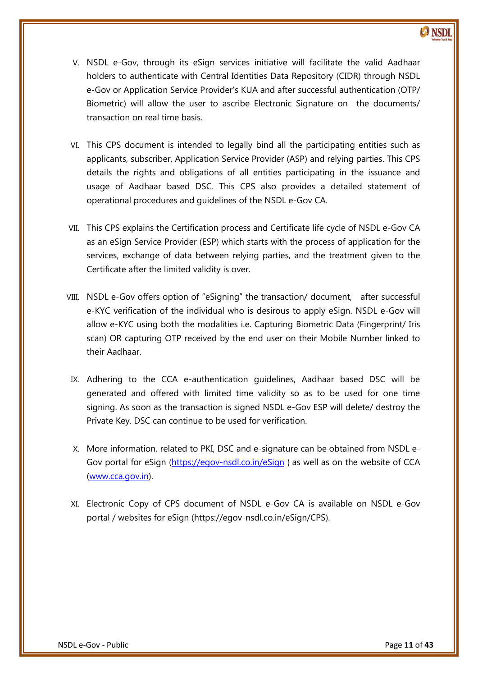- V. NSDL e-Gov, through its eSign services initiative will facilitate the valid Aadhaar holders to authenticate with Central Identities Data Repository (CIDR) through NSDL e-Gov or Application Service Provider's KUA and after successful authentication (OTP/ Biometric) will allow the user to ascribe Electronic Signature on the documents/ transaction on real time basis.
- VI. This CPS document is intended to legally bind all the participating entities such as applicants, subscriber, Application Service Provider (ASP) and relying parties. This CPS details the rights and obligations of all entities participating in the issuance and usage of Aadhaar based DSC. This CPS also provides a detailed statement of operational procedures and guidelines of the NSDL e-Gov CA.
- VII. This CPS explains the Certification process and Certificate life cycle of NSDL e-Gov CA as an eSign Service Provider (ESP) which starts with the process of application for the services, exchange of data between relying parties, and the treatment given to the Certificate after the limited validity is over.
- scan) OR capturing OTP received by the end user on their Mobile Number linked to VIII. NSDL e-Gov offers option of "eSigning" the transaction/ document, after successful e-KYC verification of the individual who is desirous to apply eSign. NSDL e-Gov will allow e-KYC using both the modalities i.e. Capturing Biometric Data (Fingerprint/ Iris their Aadhaar.
- IX. Adhering to the CCA e-authentication guidelines, Aadhaar based DSC will be generated and offered with limited time validity so as to be used for one time signing. As soon as the transaction is signed NSDL e-Gov ESP will delete/ destroy the Private Key. DSC can continue to be used for verification.
- X. More information, related to PKI, DSC and e-signature can be obtained from NSDL e-Gov portal for eSign [\(https://egov-nsdl.co.in/eSign](https://egov-nsdl.co.in/eSign) ) as well as on the website of CCA [\(www.cca.gov.in\)](http://www.cca.gov.in/).
- XI. Electronic Copy of CPS document of NSDL e-Gov CA is available on NSDL e-Gov portal / websites for eSign (https://egov-nsdl.co.in/eSign/CPS).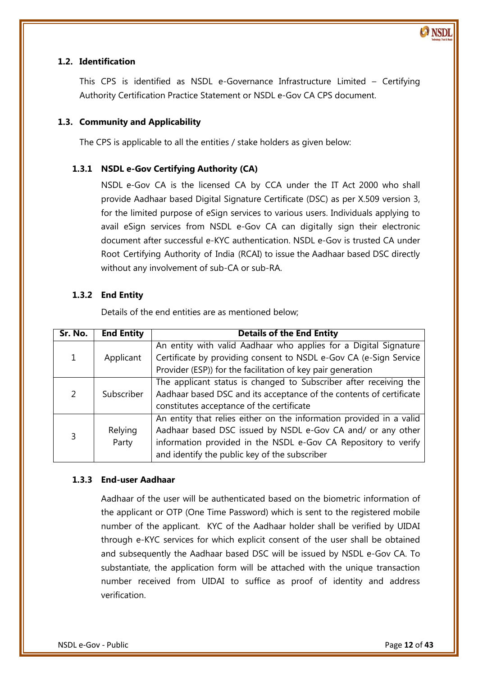

#### <span id="page-11-0"></span>**1.2. Identification**

This CPS is identified as NSDL e-Governance Infrastructure Limited – Certifying Authority Certification Practice Statement or NSDL e-Gov CA CPS document.

#### <span id="page-11-1"></span>**1.3. Community and Applicability**

The CPS is applicable to all the entities / stake holders as given below:

#### <span id="page-11-2"></span>**1.3.1 NSDL e-Gov Certifying Authority (CA)**

NSDL e-Gov CA is the licensed CA by CCA under the IT Act 2000 who shall provide Aadhaar based Digital Signature Certificate (DSC) as per X.509 version 3, for the limited purpose of eSign services to various users. Individuals applying to avail eSign services from NSDL e-Gov CA can digitally sign their electronic document after successful e-KYC authentication. NSDL e-Gov is trusted CA under Root Certifying Authority of India (RCAI) to issue the Aadhaar based DSC directly without any involvement of sub-CA or sub-RA.

#### <span id="page-11-3"></span>**1.3.2 End Entity**

Details of the end entities are as mentioned below;

| Sr. No. | <b>End Entity</b> | <b>Details of the End Entity</b>                                                                                                                                                                                                                      |  |  |
|---------|-------------------|-------------------------------------------------------------------------------------------------------------------------------------------------------------------------------------------------------------------------------------------------------|--|--|
| 1       | Applicant         | An entity with valid Aadhaar who applies for a Digital Signature<br>Certificate by providing consent to NSDL e-Gov CA (e-Sign Service<br>Provider (ESP)) for the facilitation of key pair generation                                                  |  |  |
| 2       | Subscriber        | The applicant status is changed to Subscriber after receiving the<br>Aadhaar based DSC and its acceptance of the contents of certificate<br>constitutes acceptance of the certificate                                                                 |  |  |
| 3       | Relying<br>Party  | An entity that relies either on the information provided in a valid<br>Aadhaar based DSC issued by NSDL e-Gov CA and/ or any other<br>information provided in the NSDL e-Gov CA Repository to verify<br>and identify the public key of the subscriber |  |  |

#### <span id="page-11-4"></span>**1.3.3 End-user Aadhaar**

Aadhaar of the user will be authenticated based on the biometric information of the applicant or OTP (One Time Password) which is sent to the registered mobile number of the applicant. KYC of the Aadhaar holder shall be verified by UIDAI through e-KYC services for which explicit consent of the user shall be obtained and subsequently the Aadhaar based DSC will be issued by NSDL e-Gov CA. To substantiate, the application form will be attached with the unique transaction number received from UIDAI to suffice as proof of identity and address verification.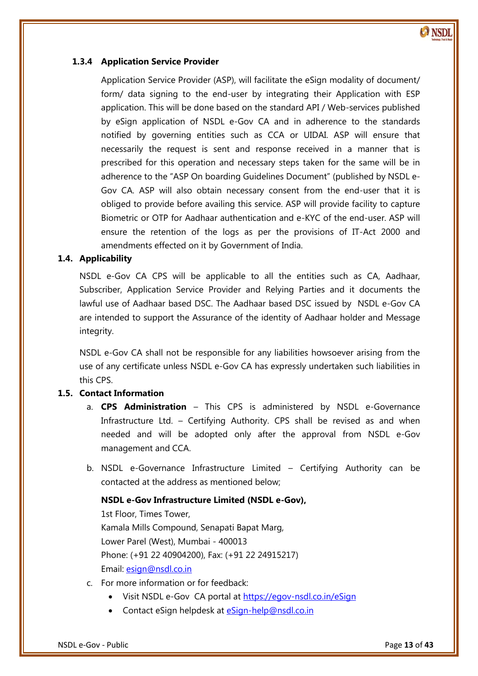

#### <span id="page-12-0"></span>**1.3.4 Application Service Provider**

Application Service Provider (ASP), will facilitate the eSign modality of document/ form/ data signing to the end-user by integrating their Application with ESP application. This will be done based on the standard API / Web-services published by eSign application of NSDL e-Gov CA and in adherence to the standards notified by governing entities such as CCA or UIDAI. ASP will ensure that necessarily the request is sent and response received in a manner that is prescribed for this operation and necessary steps taken for the same will be in adherence to the "ASP On boarding Guidelines Document" (published by NSDL e-Gov CA. ASP will also obtain necessary consent from the end-user that it is obliged to provide before availing this service. ASP will provide facility to capture Biometric or OTP for Aadhaar authentication and e-KYC of the end-user. ASP will ensure the retention of the logs as per the provisions of IT-Act 2000 and amendments effected on it by Government of India.

# <span id="page-12-1"></span>**1.4. Applicability**

NSDL e-Gov CA CPS will be applicable to all the entities such as CA, Aadhaar, Subscriber, Application Service Provider and Relying Parties and it documents the lawful use of Aadhaar based DSC. The Aadhaar based DSC issued by NSDL e-Gov CA are intended to support the Assurance of the identity of Aadhaar holder and Message integrity.

NSDL e-Gov CA shall not be responsible for any liabilities howsoever arising from the use of any certificate unless NSDL e-Gov CA has expressly undertaken such liabilities in this CPS.

# <span id="page-12-2"></span>**1.5. Contact Information**

- a. **CPS Administration** This CPS is administered by NSDL e-Governance Infrastructure Ltd. – Certifying Authority. CPS shall be revised as and when needed and will be adopted only after the approval from NSDL e-Gov management and CCA.
- b. NSDL e-Governance Infrastructure Limited Certifying Authority can be contacted at the address as mentioned below;

#### **NSDL e-Gov Infrastructure Limited (NSDL e-Gov),**

1st Floor, Times Tower, Kamala Mills Compound, Senapati Bapat Marg, Lower Parel (West), Mumbai - 400013 Phone: (+91 22 40904200), Fax: (+91 22 24915217) Email: [esign@nsdl.co.in](mailto:esign@nsdl.co.in)

- c. For more information or for feedback:
	- Visit NSDL e-Gov CA portal at [https://egov-nsdl.co.in/eSign](https://www.esign-nsdl.com/)
	- Contact eSign helpdesk at [eSign-help@nsdl.co.in](mailto:eSign-help@nsdl.co.in)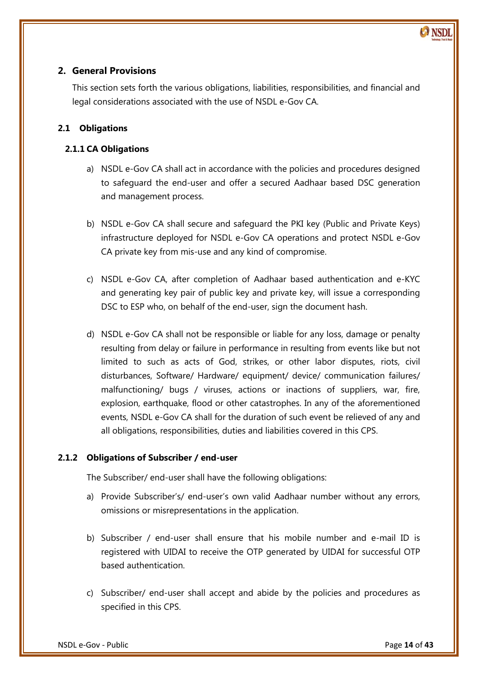# <span id="page-13-0"></span>**2. General Provisions**

This section sets forth the various obligations, liabilities, responsibilities, and financial and legal considerations associated with the use of NSDL e-Gov CA.

# <span id="page-13-1"></span>**2.1 Obligations**

# <span id="page-13-2"></span>**2.1.1 CA Obligations**

- a) NSDL e-Gov CA shall act in accordance with the policies and procedures designed to safeguard the end-user and offer a secured Aadhaar based DSC generation and management process.
- b) NSDL e-Gov CA shall secure and safeguard the PKI key (Public and Private Keys) infrastructure deployed for NSDL e-Gov CA operations and protect NSDL e-Gov CA private key from mis-use and any kind of compromise.
- c) NSDL e-Gov CA, after completion of Aadhaar based authentication and e-KYC and generating key pair of public key and private key, will issue a corresponding DSC to ESP who, on behalf of the end-user, sign the document hash.
- d) NSDL e-Gov CA shall not be responsible or liable for any loss, damage or penalty resulting from delay or failure in performance in resulting from events like but not limited to such as acts of God, strikes, or other labor disputes, riots, civil disturbances, Software/ Hardware/ equipment/ device/ communication failures/ malfunctioning/ bugs / viruses, actions or inactions of suppliers, war, fire, explosion, earthquake, flood or other catastrophes. In any of the aforementioned events, NSDL e-Gov CA shall for the duration of such event be relieved of any and all obligations, responsibilities, duties and liabilities covered in this CPS.

# <span id="page-13-3"></span>**2.1.2 Obligations of Subscriber / end-user**

The Subscriber/ end-user shall have the following obligations:

- a) Provide Subscriber's/ end-user's own valid Aadhaar number without any errors, omissions or misrepresentations in the application.
- b) Subscriber / end-user shall ensure that his mobile number and e-mail ID is registered with UIDAI to receive the OTP generated by UIDAI for successful OTP based authentication.
- c) Subscriber/ end-user shall accept and abide by the policies and procedures as specified in this CPS.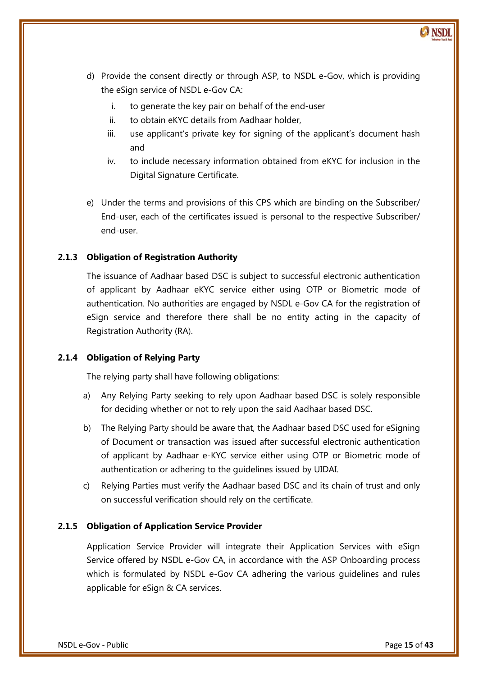- d) Provide the consent directly or through ASP, to NSDL e-Gov, which is providing the eSign service of NSDL e-Gov CA:
	- i. to generate the key pair on behalf of the end-user
	- ii. to obtain eKYC details from Aadhaar holder,
	- iii. use applicant's private key for signing of the applicant's document hash and
	- iv. to include necessary information obtained from eKYC for inclusion in the Digital Signature Certificate.
- e) Under the terms and provisions of this CPS which are binding on the Subscriber/ End-user, each of the certificates issued is personal to the respective Subscriber/ end-user.

#### <span id="page-14-0"></span>**2.1.3 Obligation of Registration Authority**

The issuance of Aadhaar based DSC is subject to successful electronic authentication of applicant by Aadhaar eKYC service either using OTP or Biometric mode of authentication. No authorities are engaged by NSDL e-Gov CA for the registration of eSign service and therefore there shall be no entity acting in the capacity of Registration Authority (RA).

#### <span id="page-14-1"></span>**2.1.4 Obligation of Relying Party**

The relying party shall have following obligations:

- a) Any Relying Party seeking to rely upon Aadhaar based DSC is solely responsible for deciding whether or not to rely upon the said Aadhaar based DSC.
- b) The Relying Party should be aware that, the Aadhaar based DSC used for eSigning of Document or transaction was issued after successful electronic authentication of applicant by Aadhaar e-KYC service either using OTP or Biometric mode of authentication or adhering to the guidelines issued by UIDAI.
- c) Relying Parties must verify the Aadhaar based DSC and its chain of trust and only on successful verification should rely on the certificate.

#### <span id="page-14-2"></span>**2.1.5 Obligation of Application Service Provider**

Application Service Provider will integrate their Application Services with eSign Service offered by NSDL e-Gov CA, in accordance with the ASP Onboarding process which is formulated by NSDL e-Gov CA adhering the various guidelines and rules applicable for eSign & CA services.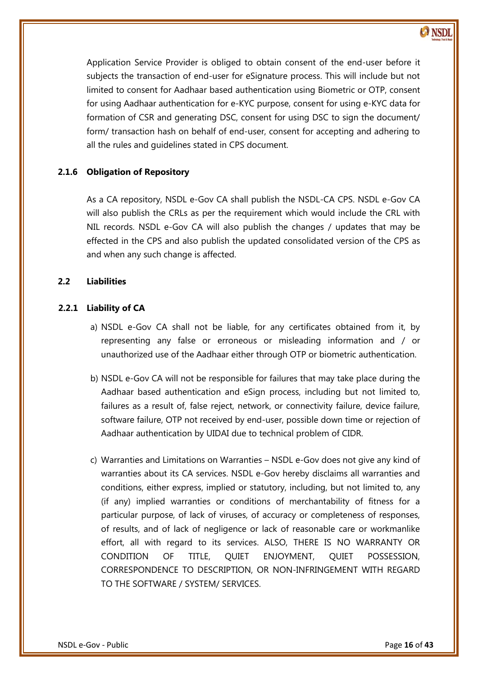

# <span id="page-15-0"></span>**2.1.6 Obligation of Repository**

all the rules and guidelines stated in CPS document.

As a CA repository, NSDL e-Gov CA shall publish the NSDL-CA CPS. NSDL e-Gov CA will also publish the CRLs as per the requirement which would include the CRL with NIL records. NSDL e-Gov CA will also publish the changes / updates that may be effected in the CPS and also publish the updated consolidated version of the CPS as and when any such change is affected.

#### <span id="page-15-1"></span>**2.2 Liabilities**

#### <span id="page-15-2"></span>**2.2.1 Liability of CA**

- representing any false or erroneous or misleading information and / or a) NSDL e-Gov CA shall not be liable, for any certificates obtained from it, by unauthorized use of the Aadhaar either through OTP or biometric authentication.
- b) NSDL e-Gov CA will not be responsible for failures that may take place during the Aadhaar based authentication and eSign process, including but not limited to, failures as a result of, false reject, network, or connectivity failure, device failure, software failure, OTP not received by end-user, possible down time or rejection of Aadhaar authentication by UIDAI due to technical problem of CIDR.
- c) Warranties and Limitations on Warranties NSDL e-Gov does not give any kind of warranties about its CA services. NSDL e-Gov hereby disclaims all warranties and conditions, either express, implied or statutory, including, but not limited to, any (if any) implied warranties or conditions of merchantability of fitness for a particular purpose, of lack of viruses, of accuracy or completeness of responses, of results, and of lack of negligence or lack of reasonable care or workmanlike effort, all with regard to its services. ALSO, THERE IS NO WARRANTY OR CONDITION OF TITLE, QUIET ENJOYMENT, QUIET POSSESSION, CORRESPONDENCE TO DESCRIPTION, OR NON-INFRINGEMENT WITH REGARD TO THE SOFTWARE / SYSTEM/ SERVICES.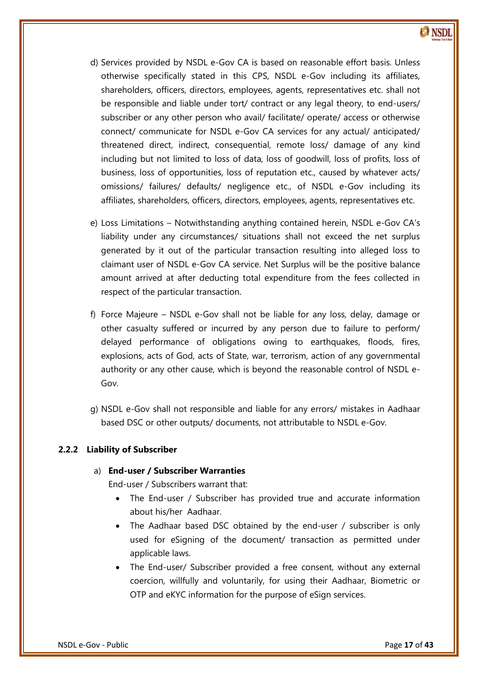

- d) Services provided by NSDL e-Gov CA is based on reasonable effort basis. Unless otherwise specifically stated in this CPS, NSDL e-Gov including its affiliates, shareholders, officers, directors, employees, agents, representatives etc. shall not be responsible and liable under tort/ contract or any legal theory, to end-users/ subscriber or any other person who avail/ facilitate/ operate/ access or otherwise connect/ communicate for NSDL e-Gov CA services for any actual/ anticipated/ threatened direct, indirect, consequential, remote loss/ damage of any kind including but not limited to loss of data, loss of goodwill, loss of profits, loss of business, loss of opportunities, loss of reputation etc., caused by whatever acts/ omissions/ failures/ defaults/ negligence etc., of NSDL e-Gov including its affiliates, shareholders, officers, directors, employees, agents, representatives etc.
- e) Loss Limitations Notwithstanding anything contained herein, NSDL e-Gov CA's liability under any circumstances/ situations shall not exceed the net surplus generated by it out of the particular transaction resulting into alleged loss to claimant user of NSDL e-Gov CA service. Net Surplus will be the positive balance amount arrived at after deducting total expenditure from the fees collected in respect of the particular transaction.
- delayed performance of obligations owing to earthquakes, floods, fires, f) Force Majeure – NSDL e-Gov shall not be liable for any loss, delay, damage or other casualty suffered or incurred by any person due to failure to perform/ explosions, acts of God, acts of State, war, terrorism, action of any governmental authority or any other cause, which is beyond the reasonable control of NSDL e-Gov.
- g) NSDL e-Gov shall not responsible and liable for any errors/ mistakes in Aadhaar based DSC or other outputs/ documents, not attributable to NSDL e-Gov.

# <span id="page-16-0"></span>**2.2.2 Liability of Subscriber**

#### a) **End-user / Subscriber Warranties**

End-user / Subscribers warrant that:

- The End-user / Subscriber has provided true and accurate information about his/her Aadhaar.
- The Aadhaar based DSC obtained by the end-user / subscriber is only used for eSigning of the document/ transaction as permitted under applicable laws.
- The End-user/ Subscriber provided a free consent, without any external coercion, willfully and voluntarily, for using their Aadhaar, Biometric or OTP and eKYC information for the purpose of eSign services.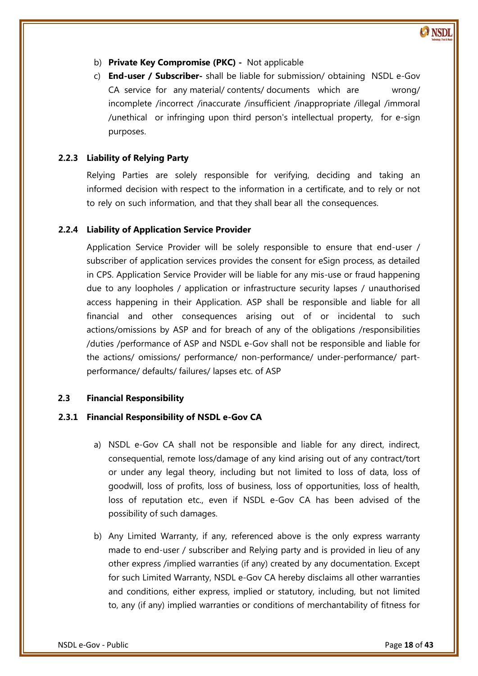- b) **Private Key Compromise (PKC) -** Not applicable
- c) **End-user / Subscriber-** shall be liable for submission/ obtaining NSDL e-Gov CA service for any material/ contents/ documents which are wrong/ incomplete /incorrect /inaccurate /insufficient /inappropriate /illegal /immoral /unethical or infringing upon third person's intellectual property, for e-sign purposes.

#### <span id="page-17-0"></span>**2.2.3 Liability of Relying Party**

Relying Parties are solely responsible for verifying, deciding and taking an informed decision with respect to the information in a certificate, and to rely or not to rely on such information, and that they shall bear all the consequences.

#### <span id="page-17-1"></span>**2.2.4 Liability of Application Service Provider**

 /duties /performance of ASP and NSDL e-Gov shall not be responsible and liable for Application Service Provider will be solely responsible to ensure that end-user / subscriber of application services provides the consent for eSign process, as detailed in CPS. Application Service Provider will be liable for any mis-use or fraud happening due to any loopholes / application or infrastructure security lapses / unauthorised access happening in their Application. ASP shall be responsible and liable for all financial and other consequences arising out of or incidental to such actions/omissions by ASP and for breach of any of the obligations /responsibilities the actions/ omissions/ performance/ non-performance/ under-performance/ partperformance/ defaults/ failures/ lapses etc. of ASP

#### <span id="page-17-2"></span>**2.3 Financial Responsibility**

#### <span id="page-17-3"></span>**2.3.1 Financial Responsibility of NSDL e-Gov CA**

- a) NSDL e-Gov CA shall not be responsible and liable for any direct, indirect, consequential, remote loss/damage of any kind arising out of any contract/tort or under any legal theory, including but not limited to loss of data, loss of goodwill, loss of profits, loss of business, loss of opportunities, loss of health, loss of reputation etc., even if NSDL e-Gov CA has been advised of the possibility of such damages.
- b) Any Limited Warranty, if any, referenced above is the only express warranty made to end-user / subscriber and Relying party and is provided in lieu of any other express /implied warranties (if any) created by any documentation. Except for such Limited Warranty, NSDL e-Gov CA hereby disclaims all other warranties and conditions, either express, implied or statutory, including, but not limited to, any (if any) implied warranties or conditions of merchantability of fitness for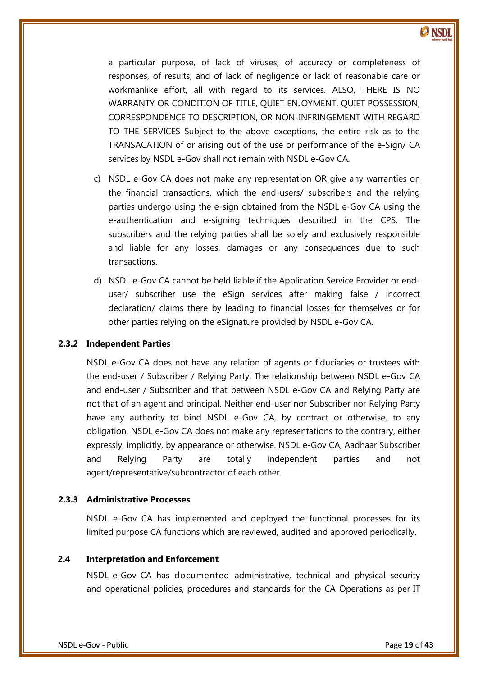

a particular purpose, of lack of viruses, of accuracy or completeness of responses, of results, and of lack of negligence or lack of reasonable care or workmanlike effort, all with regard to its services. ALSO, THERE IS NO WARRANTY OR CONDITION OF TITLE, QUIET ENJOYMENT, QUIET POSSESSION, CORRESPONDENCE TO DESCRIPTION, OR NON-INFRINGEMENT WITH REGARD TO THE SERVICES Subject to the above exceptions, the entire risk as to the TRANSACATION of or arising out of the use or performance of the e-Sign/ CA services by NSDL e-Gov shall not remain with NSDL e-Gov CA.

- c) NSDL e-Gov CA does not make any representation OR give any warranties on the financial transactions, which the end-users/ subscribers and the relying parties undergo using the e-sign obtained from the NSDL e-Gov CA using the e-authentication and e-signing techniques described in the CPS. The subscribers and the relying parties shall be solely and exclusively responsible and liable for any losses, damages or any consequences due to such transactions.
- d) NSDL e-Gov CA cannot be held liable if the Application Service Provider or enduser/ subscriber use the eSign services after making false / incorrect declaration/ claims there by leading to financial losses for themselves or for other parties relying on the eSignature provided by NSDL e-Gov CA.

#### <span id="page-18-0"></span>**2.3.2 Independent Parties**

NSDL e-Gov CA does not have any relation of agents or fiduciaries or trustees with the end-user / Subscriber / Relying Party. The relationship between NSDL e-Gov CA and end-user / Subscriber and that between NSDL e-Gov CA and Relying Party are not that of an agent and principal. Neither end-user nor Subscriber nor Relying Party have any authority to bind NSDL e-Gov CA, by contract or otherwise, to any obligation. NSDL e-Gov CA does not make any representations to the contrary, either expressly, implicitly, by appearance or otherwise. NSDL e-Gov CA, Aadhaar Subscriber and Relying Party are totally independent parties and not agent/representative/subcontractor of each other.

#### <span id="page-18-1"></span>**2.3.3 Administrative Processes**

NSDL e-Gov CA has implemented and deployed the functional processes for its limited purpose CA functions which are reviewed, audited and approved periodically.

#### <span id="page-18-2"></span>**2.4 Interpretation and Enforcement**

NSDL e-Gov CA has documented administrative, technical and physical security and operational policies, procedures and standards for the CA Operations as per IT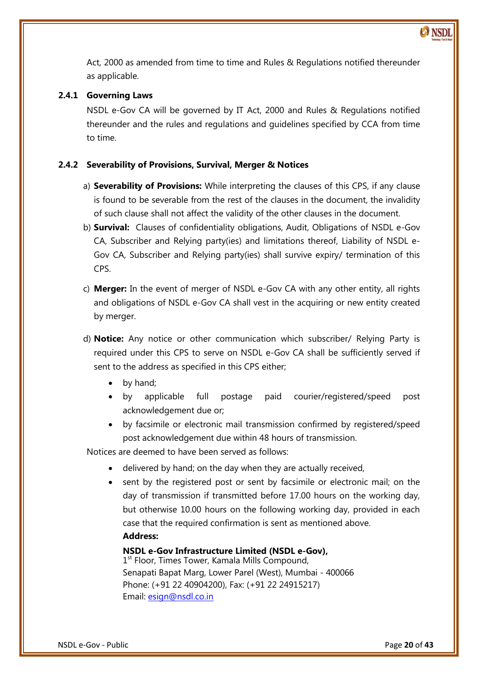

Act, 2000 as amended from time to time and Rules & Regulations notified thereunder as applicable.

# <span id="page-19-0"></span>**2.4.1 Governing Laws**

NSDL e-Gov CA will be governed by IT Act, 2000 and Rules & Regulations notified thereunder and the rules and regulations and guidelines specified by CCA from time to time.

#### <span id="page-19-1"></span>**2.4.2 Severability of Provisions, Survival, Merger & Notices**

- a) **Severability of Provisions:** While interpreting the clauses of this CPS, if any clause is found to be severable from the rest of the clauses in the document, the invalidity of such clause shall not affect the validity of the other clauses in the document.
- b) **Survival:** Clauses of confidentiality obligations, Audit, Obligations of NSDL e-Gov CA, Subscriber and Relying party(ies) and limitations thereof, Liability of NSDL e-Gov CA, Subscriber and Relying party(ies) shall survive expiry/ termination of this CPS.
- c) **Merger:** In the event of merger of NSDL e-Gov CA with any other entity, all rights and obligations of NSDL e-Gov CA shall vest in the acquiring or new entity created by merger.
- d) **Notice:** Any notice or other communication which subscriber/ Relying Party is required under this CPS to serve on NSDL e-Gov CA shall be sufficiently served if sent to the address as specified in this CPS either;
	- by hand;
	- by applicable full postage paid courier/registered/speed post acknowledgement due or;
	- by facsimile or electronic mail transmission confirmed by registered/speed post acknowledgement due within 48 hours of transmission.

Notices are deemed to have been served as follows:

- delivered by hand; on the day when they are actually received,
- sent by the registered post or sent by facsimile or electronic mail; on the day of transmission if transmitted before 17.00 hours on the working day, but otherwise 10.00 hours on the following working day, provided in each case that the required confirmation is sent as mentioned above. **Address:**

# **NSDL e-Gov Infrastructure Limited (NSDL e-Gov),**

1<sup>st</sup> Floor, Times Tower, Kamala Mills Compound, Senapati Bapat Marg, Lower Parel (West), Mumbai - 400066 Phone: (+91 22 40904200), Fax: (+91 22 24915217) Email: [esign@nsdl.co.in](mailto:esign@nsdl.co.in)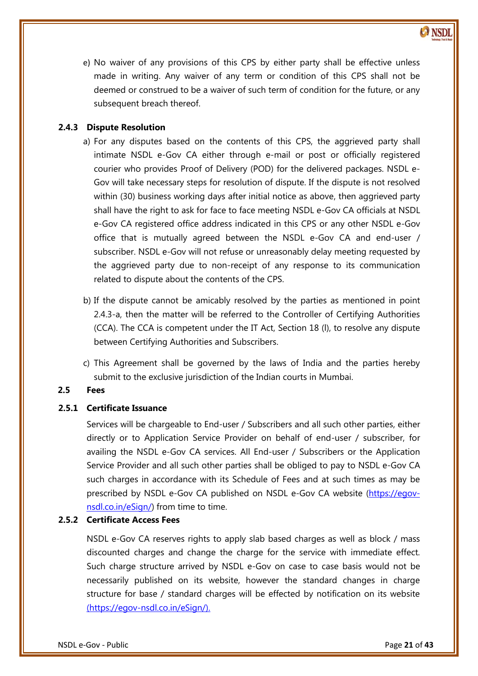e) No waiver of any provisions of this CPS by either party shall be effective unless made in writing. Any waiver of any term or condition of this CPS shall not be deemed or construed to be a waiver of such term of condition for the future, or any subsequent breach thereof.

# <span id="page-20-0"></span>**2.4.3 Dispute Resolution**

- a) For any disputes based on the contents of this CPS, the aggrieved party shall intimate NSDL e-Gov CA either through e-mail or post or officially registered courier who provides Proof of Delivery (POD) for the delivered packages. NSDL e-Gov will take necessary steps for resolution of dispute. If the dispute is not resolved within (30) business working days after initial notice as above, then aggrieved party shall have the right to ask for face to face meeting NSDL e-Gov CA officials at NSDL e-Gov CA registered office address indicated in this CPS or any other NSDL e-Gov office that is mutually agreed between the NSDL e-Gov CA and end-user / subscriber. NSDL e-Gov will not refuse or unreasonably delay meeting requested by the aggrieved party due to non-receipt of any response to its communication related to dispute about the contents of the CPS.
- between Certifying Authorities and Subscribers. b) If the dispute cannot be amicably resolved by the parties as mentioned in point 2.4.3-a, then the matter will be referred to the Controller of Certifying Authorities (CCA). The CCA is competent under the IT Act, Section 18 (l), to resolve any dispute
- c) This Agreement shall be governed by the laws of India and the parties hereby submit to the exclusive jurisdiction of the Indian courts in Mumbai.

# <span id="page-20-1"></span>**2.5 Fees**

# <span id="page-20-2"></span>**2.5.1 Certificate Issuance**

Services will be chargeable to End-user / Subscribers and all such other parties, either directly or to Application Service Provider on behalf of end-user / subscriber, for availing the NSDL e-Gov CA services. All End-user / Subscribers or the Application Service Provider and all such other parties shall be obliged to pay to NSDL e-Gov CA such charges in accordance with its Schedule of Fees and at such times as may be prescribed by NSDL e-Gov CA published on NSDL e-Gov CA website [\(https://egov](http://www.esign-nsdl.com/)[nsdl.co.in/eSign/\)](http://www.esign-nsdl.com/) from time to time.

# <span id="page-20-3"></span>**2.5.2 Certificate Access Fees**

NSDL e-Gov CA reserves rights to apply slab based charges as well as block / mass discounted charges and change the charge for the service with immediate effect. Such charge structure arrived by NSDL e-Gov on case to case basis would not be necessarily published on its website, however the standard changes in charge structure for base / standard charges will be effected by notification on its website [\(https://egov-nsdl.co.in/eSign/\)](http://www.esign-nsdl.com/).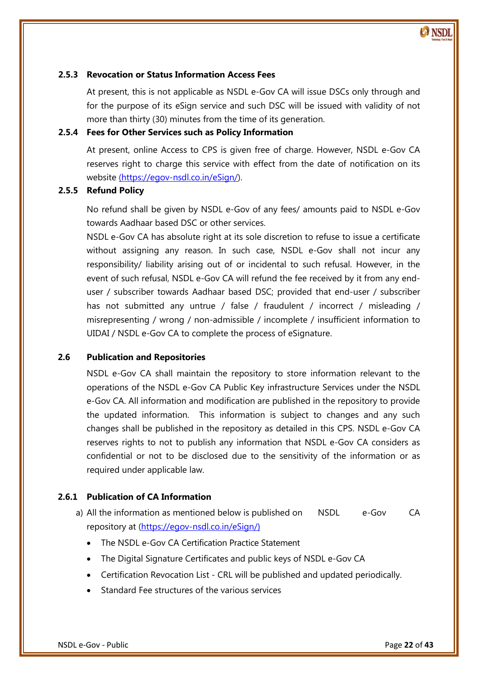# <span id="page-21-0"></span>**2.5.3 Revocation or Status Information Access Fees**

At present, this is not applicable as NSDL e-Gov CA will issue DSCs only through and for the purpose of its eSign service and such DSC will be issued with validity of not more than thirty (30) minutes from the time of its generation.

# <span id="page-21-1"></span>**2.5.4 Fees for Other Services such as Policy Information**

At present, online Access to CPS is given free of charge. However, NSDL e-Gov CA reserves right to charge this service with effect from the date of notification on its website [\(https://egov-nsdl.co.in/eSign/\)](http://www.esign-nsdl.com/).

#### <span id="page-21-2"></span>**2.5.5 Refund Policy**

No refund shall be given by NSDL e-Gov of any fees/ amounts paid to NSDL e-Gov towards Aadhaar based DSC or other services.

NSDL e-Gov CA has absolute right at its sole discretion to refuse to issue a certificate without assigning any reason. In such case, NSDL e-Gov shall not incur any responsibility/ liability arising out of or incidental to such refusal. However, in the event of such refusal, NSDL e-Gov CA will refund the fee received by it from any enduser / subscriber towards Aadhaar based DSC; provided that end-user / subscriber has not submitted any untrue / false / fraudulent / incorrect / misleading / misrepresenting / wrong / non-admissible / incomplete / insufficient information to UIDAI / NSDL e-Gov CA to complete the process of eSignature.

# <span id="page-21-3"></span>**2.6 Publication and Repositories**

NSDL e-Gov CA shall maintain the repository to store information relevant to the operations of the NSDL e-Gov CA Public Key infrastructure Services under the NSDL e-Gov CA. All information and modification are published in the repository to provide the updated information. This information is subject to changes and any such changes shall be published in the repository as detailed in this CPS. NSDL e-Gov CA reserves rights to not to publish any information that NSDL e-Gov CA considers as confidential or not to be disclosed due to the sensitivity of the information or as required under applicable law.

# <span id="page-21-4"></span>**2.6.1 Publication of CA Information**

a) All the information as mentioned below is published on MSDL e-Gov CA repository at [\(https://egov-nsdl.co.in/eSign/](http://www.esign-nsdl.com/))

- The NSDL e-Gov CA Certification Practice Statement
- The Digital Signature Certificates and public keys of NSDL e-Gov CA
- Certification Revocation List CRL will be published and updated periodically.
- Standard Fee structures of the various services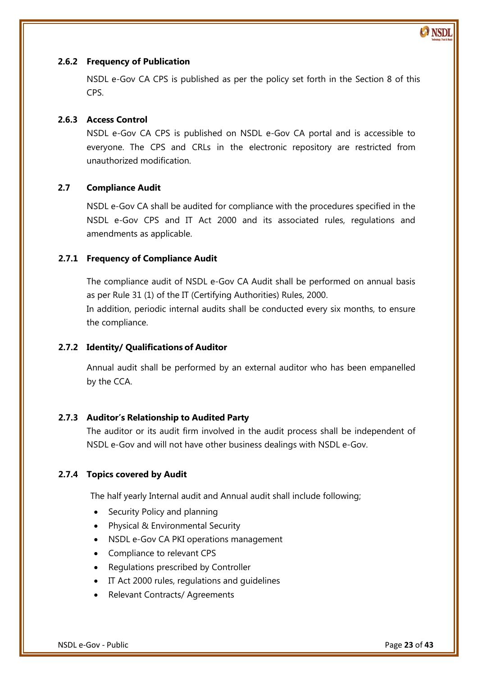# <span id="page-22-0"></span>**2.6.2 Frequency of Publication**

NSDL e-Gov CA CPS is published as per the policy set forth in the Section 8 of this CPS.

# <span id="page-22-1"></span>**2.6.3 Access Control**

NSDL e-Gov CA CPS is published on NSDL e-Gov CA portal and is accessible to everyone. The CPS and CRLs in the electronic repository are restricted from unauthorized modification.

# <span id="page-22-2"></span>**2.7 Compliance Audit**

NSDL e-Gov CA shall be audited for compliance with the procedures specified in the NSDL e-Gov CPS and IT Act 2000 and its associated rules, regulations and amendments as applicable.

#### <span id="page-22-3"></span>**2.7.1 Frequency of Compliance Audit**

The compliance audit of NSDL e-Gov CA Audit shall be performed on annual basis as per Rule 31 (1) of the IT (Certifying Authorities) Rules, 2000. In addition, periodic internal audits shall be conducted every six months, to ensure the compliance.

# <span id="page-22-4"></span>**2.7.2 Identity/ Qualifications of Auditor**

Annual audit shall be performed by an external auditor who has been empanelled by the CCA.

#### <span id="page-22-5"></span>**2.7.3 Auditor's Relationship to Audited Party**

The auditor or its audit firm involved in the audit process shall be independent of NSDL e-Gov and will not have other business dealings with NSDL e-Gov.

#### <span id="page-22-6"></span>**2.7.4 Topics covered by Audit**

The half yearly Internal audit and Annual audit shall include following;

- Security Policy and planning
- Physical & Environmental Security
- NSDL e-Gov CA PKI operations management
- Compliance to relevant CPS
- Regulations prescribed by Controller
- IT Act 2000 rules, regulations and guidelines
- Relevant Contracts/ Agreements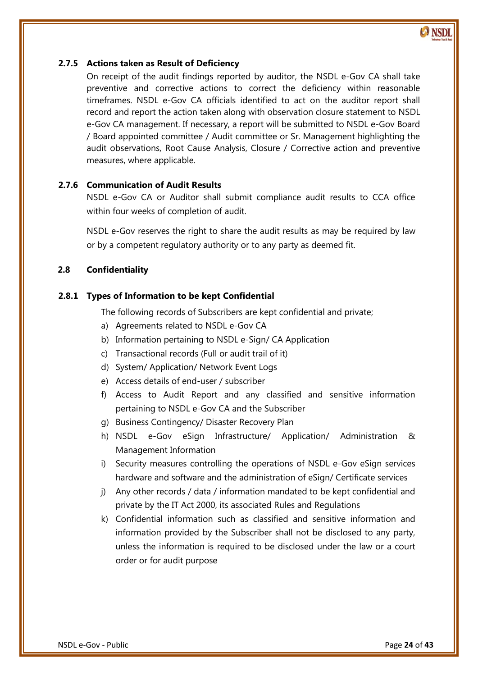#### <span id="page-23-0"></span>**2.7.5 Actions taken as Result of Deficiency**

On receipt of the audit findings reported by auditor, the NSDL e-Gov CA shall take preventive and corrective actions to correct the deficiency within reasonable timeframes. NSDL e-Gov CA officials identified to act on the auditor report shall record and report the action taken along with observation closure statement to NSDL e-Gov CA management. If necessary, a report will be submitted to NSDL e-Gov Board / Board appointed committee / Audit committee or Sr. Management highlighting the audit observations, Root Cause Analysis, Closure / Corrective action and preventive measures, where applicable.

# <span id="page-23-1"></span>**2.7.6 Communication of Audit Results**

NSDL e-Gov CA or Auditor shall submit compliance audit results to CCA office within four weeks of completion of audit.

NSDL e-Gov reserves the right to share the audit results as may be required by law or by a competent regulatory authority or to any party as deemed fit.

# <span id="page-23-2"></span>**2.8 Confidentiality**

#### <span id="page-23-3"></span>**2.8.1 Types of Information to be kept Confidential**

The following records of Subscribers are kept confidential and private;

- a) Agreements related to NSDL e-Gov CA
- b) Information pertaining to NSDL e-Sign/ CA Application
- c) Transactional records (Full or audit trail of it)
- d) System/ Application/ Network Event Logs
- e) Access details of end-user / subscriber
- f) Access to Audit Report and any classified and sensitive information pertaining to NSDL e-Gov CA and the Subscriber
- g) Business Contingency/ Disaster Recovery Plan
- h) NSDL e-Gov eSign Infrastructure/ Application/ Administration & Management Information
- i) Security measures controlling the operations of NSDL e-Gov eSign services hardware and software and the administration of eSign/ Certificate services
- j) Any other records / data / information mandated to be kept confidential and private by the IT Act 2000, its associated Rules and Regulations
- k) Confidential information such as classified and sensitive information and information provided by the Subscriber shall not be disclosed to any party, unless the information is required to be disclosed under the law or a court order or for audit purpose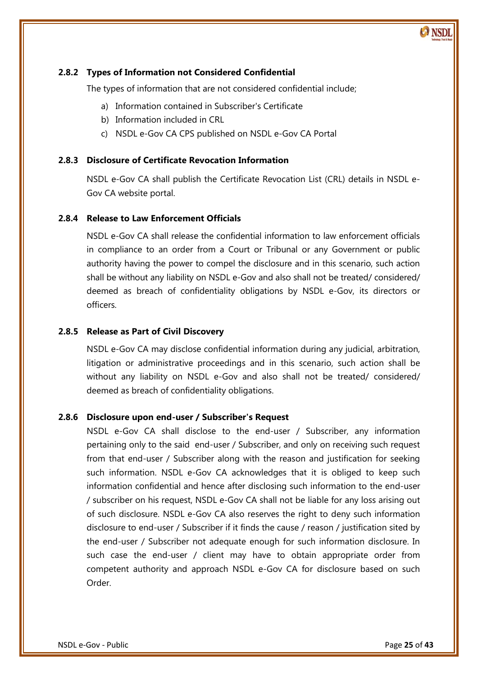# <span id="page-24-0"></span>**2.8.2 Types of Information not Considered Confidential**

The types of information that are not considered confidential include;

- a) Information contained in Subscriber's Certificate
- b) Information included in CRL
- c) NSDL e-Gov CA CPS published on NSDL e-Gov CA Portal

#### <span id="page-24-1"></span>**2.8.3 Disclosure of Certificate Revocation Information**

NSDL e-Gov CA shall publish the Certificate Revocation List (CRL) details in NSDL e-Gov CA website portal.

#### <span id="page-24-2"></span>**2.8.4 Release to Law Enforcement Officials**

NSDL e-Gov CA shall release the confidential information to law enforcement officials in compliance to an order from a Court or Tribunal or any Government or public authority having the power to compel the disclosure and in this scenario, such action shall be without any liability on NSDL e-Gov and also shall not be treated/ considered/ deemed as breach of confidentiality obligations by NSDL e-Gov, its directors or officers.

#### <span id="page-24-3"></span>**2.8.5 Release as Part of Civil Discovery**

NSDL e-Gov CA may disclose confidential information during any judicial, arbitration, litigation or administrative proceedings and in this scenario, such action shall be without any liability on NSDL e-Gov and also shall not be treated/ considered/ deemed as breach of confidentiality obligations.

#### <span id="page-24-4"></span>**2.8.6 Disclosure upon end-user / Subscriber's Request**

NSDL e-Gov CA shall disclose to the end-user / Subscriber, any information pertaining only to the said end-user / Subscriber, and only on receiving such request from that end-user / Subscriber along with the reason and justification for seeking such information. NSDL e-Gov CA acknowledges that it is obliged to keep such information confidential and hence after disclosing such information to the end-user / subscriber on his request, NSDL e-Gov CA shall not be liable for any loss arising out of such disclosure. NSDL e-Gov CA also reserves the right to deny such information disclosure to end-user / Subscriber if it finds the cause / reason / justification sited by the end-user / Subscriber not adequate enough for such information disclosure. In such case the end-user / client may have to obtain appropriate order from competent authority and approach NSDL e-Gov CA for disclosure based on such Order.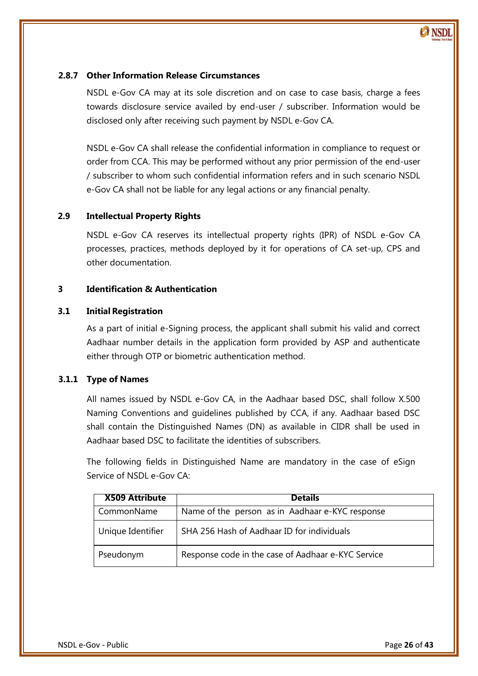

# <span id="page-25-0"></span>**2.8.7 Other Information Release Circumstances**

NSDL e-Gov CA may at its sole discretion and on case to case basis, charge a fees towards disclosure service availed by end-user / subscriber. Information would be disclosed only after receiving such payment by NSDL e-Gov CA.

NSDL e-Gov CA shall release the confidential information in compliance to request or order from CCA. This may be performed without any prior permission of the end-user / subscriber to whom such confidential information refers and in such scenario NSDL e-Gov CA shall not be liable for any legal actions or any financial penalty.

# <span id="page-25-1"></span>**2.9 Intellectual Property Rights**

NSDL e-Gov CA reserves its intellectual property rights (IPR) of NSDL e-Gov CA processes, practices, methods deployed by it for operations of CA set-up, CPS and other documentation.

# <span id="page-25-2"></span>**3 Identification & Authentication**

#### <span id="page-25-3"></span>**3.1 Initial Registration**

 Aadhaar number details in the application form provided by ASP and authenticate As a part of initial e-Signing process, the applicant shall submit his valid and correct either through OTP or biometric authentication method.

#### <span id="page-25-4"></span>**3.1.1 Type of Names**

All names issued by NSDL e-Gov CA, in the Aadhaar based DSC, shall follow X.500 Naming Conventions and guidelines published by CCA, if any. Aadhaar based DSC shall contain the Distinguished Names (DN) as available in CIDR shall be used in Aadhaar based DSC to facilitate the identities of subscribers.

The following fields in Distinguished Name are mandatory in the case of eSign Service of NSDL e-Gov CA:

<span id="page-25-5"></span>

| <b>X509 Attribute</b> | <b>Details</b>                                     |
|-----------------------|----------------------------------------------------|
| CommonName            | Name of the person as in Aadhaar e-KYC response    |
| Unique Identifier     | SHA 256 Hash of Aadhaar ID for individuals         |
| Pseudonym             | Response code in the case of Aadhaar e-KYC Service |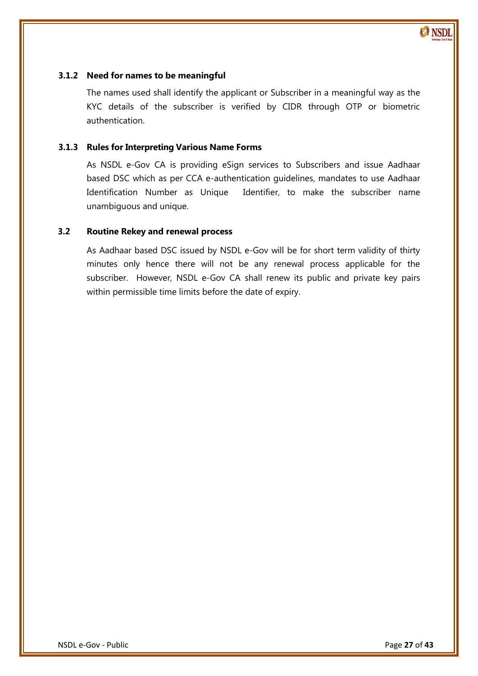

#### **3.1.2 Need for names to be meaningful**

The names used shall identify the applicant or Subscriber in a meaningful way as the KYC details of the subscriber is verified by CIDR through OTP or biometric authentication.

#### <span id="page-26-0"></span>**3.1.3 Rules for Interpreting Various Name Forms**

As NSDL e-Gov CA is providing eSign services to Subscribers and issue Aadhaar based DSC which as per CCA e-authentication guidelines, mandates to use Aadhaar Identification Number as Unique Identifier, to make the subscriber name unambiguous and unique.

#### <span id="page-26-1"></span>**3.2 Routine Rekey and renewal process**

As Aadhaar based DSC issued by NSDL e-Gov will be for short term validity of thirty minutes only hence there will not be any renewal process applicable for the subscriber. However, NSDL e-Gov CA shall renew its public and private key pairs within permissible time limits before the date of expiry.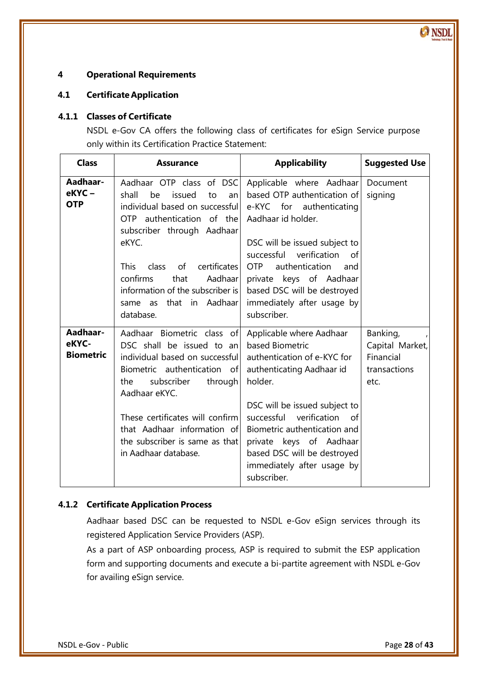# <span id="page-27-0"></span>**4 Operational Requirements**

# <span id="page-27-1"></span>**4.1 Certificate Application**

#### <span id="page-27-2"></span>**4.1.1 Classes of Certificate**

NSDL e-Gov CA offers the following class of certificates for eSign Service purpose only within its Certification Practice Statement:

| <b>Class</b>                          | <b>Assurance</b>                                                                                                                                                                                                                                                                                                                 | <b>Applicability</b>                                                                                                                                                                                                                                                                                                        | <b>Suggested Use</b>                                             |
|---------------------------------------|----------------------------------------------------------------------------------------------------------------------------------------------------------------------------------------------------------------------------------------------------------------------------------------------------------------------------------|-----------------------------------------------------------------------------------------------------------------------------------------------------------------------------------------------------------------------------------------------------------------------------------------------------------------------------|------------------------------------------------------------------|
| Aadhaar-<br>eKYC-<br><b>OTP</b>       | Aadhaar OTP class of DSC<br>shall<br>be<br>issued<br>to<br>anl<br>individual based on successful<br>OTP authentication of the<br>subscriber through Aadhaar<br>eKYC.<br><b>This</b><br>certificates<br>class<br>of<br>confirms<br>that<br>Aadhaar<br>information of the subscriber is<br>that in Aadhaar<br>same as<br>database. | Applicable where Aadhaar<br>based OTP authentication of<br>e-KYC for authenticating<br>Aadhaar id holder.<br>DSC will be issued subject to<br>successful<br>verification<br>of<br>authentication<br>OTP.<br>and<br>private keys of Aadhaar<br>based DSC will be destroyed<br>immediately after usage by<br>subscriber.      | Document<br>signing                                              |
| Aadhaar-<br>eKYC-<br><b>Biometric</b> | Aadhaar Biometric class of<br>DSC shall be issued to an<br>individual based on successfull<br>Biometric authentication<br>of<br>the<br>subscriber<br>through<br>Aadhaar eKYC.<br>These certificates will confirm<br>that Aadhaar information of<br>the subscriber is same as that<br>in Aadhaar database.                        | Applicable where Aadhaar<br>based Biometric<br>authentication of e-KYC for<br>authenticating Aadhaar id<br>holder.<br>DSC will be issued subject to<br>successful verification<br>0f<br>Biometric authentication and<br>private keys of Aadhaar<br>based DSC will be destroyed<br>immediately after usage by<br>subscriber. | Banking,<br>Capital Market,<br>Financial<br>transactions<br>etc. |

# <span id="page-27-3"></span>**4.1.2 Certificate Application Process**

Aadhaar based DSC can be requested to NSDL e-Gov eSign services through its registered Application Service Providers (ASP).

As a part of ASP onboarding process, ASP is required to submit the ESP application form and supporting documents and execute a bi-partite agreement with NSDL e-Gov for availing eSign service.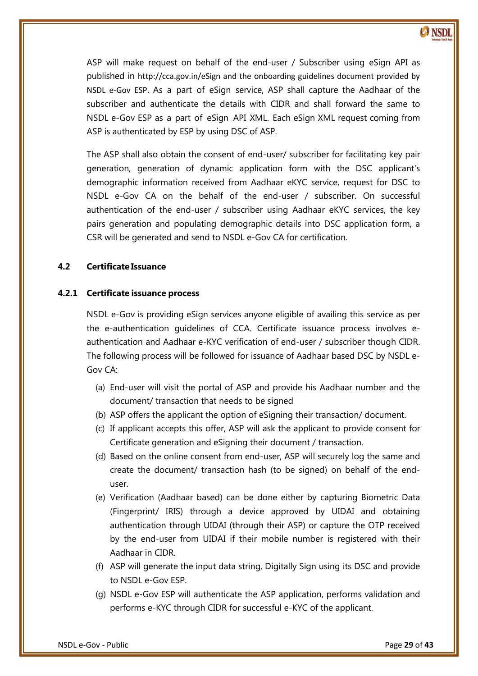ASP will make request on behalf of the end-user / Subscriber using eSign API as published in http://cca.gov.in/eSign and the onboarding guidelines document provided by NSDL e-Gov ESP. As a part of eSign service, ASP shall capture the Aadhaar of the subscriber and authenticate the details with CIDR and shall forward the same to NSDL e-Gov ESP as a part of eSign API XML. Each eSign XML request coming from ASP is authenticated by ESP by using DSC of ASP.

The ASP shall also obtain the consent of end-user/ subscriber for facilitating key pair generation, generation of dynamic application form with the DSC applicant's demographic information received from Aadhaar eKYC service, request for DSC to NSDL e-Gov CA on the behalf of the end-user / subscriber. On successful authentication of the end-user / subscriber using Aadhaar eKYC services, the key pairs generation and populating demographic details into DSC application form, a CSR will be generated and send to NSDL e-Gov CA for certification.

# <span id="page-28-0"></span>**4.2 Certificate Issuance**

# <span id="page-28-1"></span>**4.2.1 Certificate issuance process**

 authentication and Aadhaar e-KYC verification of end-user / subscriber though CIDR. NSDL e-Gov is providing eSign services anyone eligible of availing this service as per the e-authentication guidelines of CCA. Certificate issuance process involves e-The following process will be followed for issuance of Aadhaar based DSC by NSDL e-Gov CA:

- (a) End-user will visit the portal of ASP and provide his Aadhaar number and the document/ transaction that needs to be signed
- (b) ASP offers the applicant the option of eSigning their transaction/ document.
- (c) If applicant accepts this offer, ASP will ask the applicant to provide consent for Certificate generation and eSigning their document / transaction.
- (d) Based on the online consent from end-user, ASP will securely log the same and create the document/ transaction hash (to be signed) on behalf of the enduser.
- (e) Verification (Aadhaar based) can be done either by capturing Biometric Data (Fingerprint/ IRIS) through a device approved by UIDAI and obtaining authentication through UIDAI (through their ASP) or capture the OTP received by the end-user from UIDAI if their mobile number is registered with their Aadhaar in CIDR.
- (f) ASP will generate the input data string, Digitally Sign using its DSC and provide to NSDL e-Gov ESP.
- (g) NSDL e-Gov ESP will authenticate the ASP application, performs validation and performs e-KYC through CIDR for successful e-KYC of the applicant.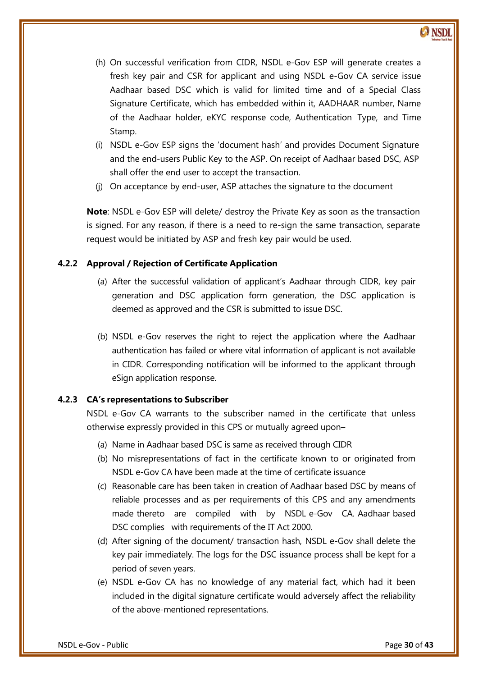- (h) On successful verification from CIDR, NSDL e-Gov ESP will generate creates a fresh key pair and CSR for applicant and using NSDL e-Gov CA service issue Aadhaar based DSC which is valid for limited time and of a Special Class Signature Certificate, which has embedded within it, AADHAAR number, Name of the Aadhaar holder, eKYC response code, Authentication Type, and Time Stamp.
- (i) NSDL e-Gov ESP signs the 'document hash' and provides Document Signature and the end-users Public Key to the ASP. On receipt of Aadhaar based DSC, ASP shall offer the end user to accept the transaction.
- (j) On acceptance by end-user, ASP attaches the signature to the document

**Note**: NSDL e-Gov ESP will delete/ destroy the Private Key as soon as the transaction is signed. For any reason, if there is a need to re-sign the same transaction, separate request would be initiated by ASP and fresh key pair would be used.

# <span id="page-29-0"></span>**4.2.2 Approval / Rejection of Certificate Application**

- (a) After the successful validation of applicant's Aadhaar through CIDR, key pair generation and DSC application form generation, the DSC application is deemed as approved and the CSR is submitted to issue DSC.
- (b) NSDL e-Gov reserves the right to reject the application where the Aadhaar authentication has failed or where vital information of applicant is not available in CIDR. Corresponding notification will be informed to the applicant through eSign application response.

# <span id="page-29-1"></span>**4.2.3 CA's representations to Subscriber**

NSDL e-Gov CA warrants to the subscriber named in the certificate that unless otherwise expressly provided in this CPS or mutually agreed upon–

- (a) Name in Aadhaar based DSC is same as received through CIDR
- (b) No misrepresentations of fact in the certificate known to or originated from NSDL e-Gov CA have been made at the time of certificate issuance
- (c) Reasonable care has been taken in creation of Aadhaar based DSC by means of reliable processes and as per requirements of this CPS and any amendments made thereto are compiled with by NSDL e-Gov CA. Aadhaar based DSC complies with requirements of the IT Act 2000.
- (d) After signing of the document/ transaction hash, NSDL e-Gov shall delete the key pair immediately. The logs for the DSC issuance process shall be kept for a period of seven years.
- (e) NSDL e-Gov CA has no knowledge of any material fact, which had it been included in the digital signature certificate would adversely affect the reliability of the above-mentioned representations.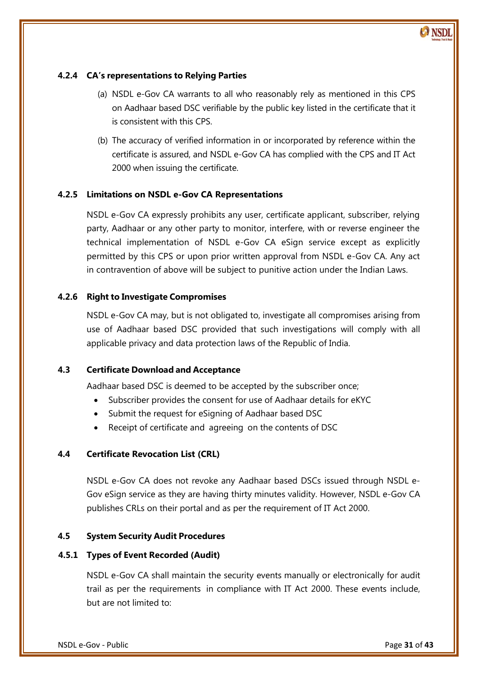# <span id="page-30-0"></span>**4.2.4 CA's representations to Relying Parties**

- (a) NSDL e-Gov CA warrants to all who reasonably rely as mentioned in this CPS on Aadhaar based DSC verifiable by the public key listed in the certificate that it is consistent with this CPS.
- (b) The accuracy of verified information in or incorporated by reference within the certificate is assured, and NSDL e-Gov CA has complied with the CPS and IT Act 2000 when issuing the certificate.

# <span id="page-30-1"></span>**4.2.5 Limitations on NSDL e-Gov CA Representations**

NSDL e-Gov CA expressly prohibits any user, certificate applicant, subscriber, relying party, Aadhaar or any other party to monitor, interfere, with or reverse engineer the technical implementation of NSDL e-Gov CA eSign service except as explicitly permitted by this CPS or upon prior written approval from NSDL e-Gov CA. Any act in contravention of above will be subject to punitive action under the Indian Laws.

# <span id="page-30-2"></span>**4.2.6 Right to Investigate Compromises**

 applicable privacy and data protection laws of the Republic of India. NSDL e-Gov CA may, but is not obligated to, investigate all compromises arising from use of Aadhaar based DSC provided that such investigations will comply with all

# <span id="page-30-3"></span>**4.3 Certificate Download and Acceptance**

Aadhaar based DSC is deemed to be accepted by the subscriber once;

- Subscriber provides the consent for use of Aadhaar details for eKYC
- Submit the request for eSigning of Aadhaar based DSC
- Receipt of certificate and agreeing on the contents of DSC

# <span id="page-30-4"></span>**4.4 Certificate Revocation List (CRL)**

NSDL e-Gov CA does not revoke any Aadhaar based DSCs issued through NSDL e-Gov eSign service as they are having thirty minutes validity. However, NSDL e-Gov CA publishes CRLs on their portal and as per the requirement of IT Act 2000.

# <span id="page-30-5"></span>**4.5 System Security Audit Procedures**

# <span id="page-30-6"></span>**4.5.1 Types of Event Recorded (Audit)**

NSDL e-Gov CA shall maintain the security events manually or electronically for audit trail as per the requirements in compliance with IT Act 2000. These events include, but are not limited to:

 $\odot$  NSD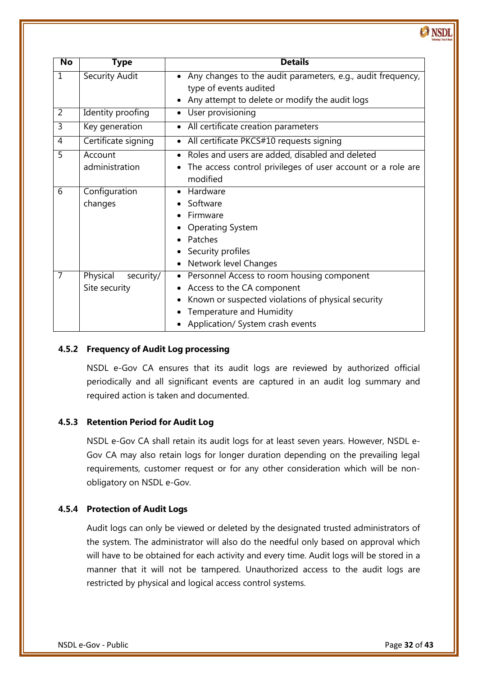**No Type Details** 1 Security Audit **Any changes to the audit parameters, e.g., audit frequency,** type of events audited Any attempt to delete or modify the audit logs 2 Identity proofing • User provisioning 3 | Key generation | • All certificate creation parameters 4 | Certificate signing | • All certificate PKCS#10 requests signing 5 Account administration Roles and users are added, disabled and deleted The access control privileges of user account or a role are modified 6 Configuration changes • Hardware • Software • Firmware • Operating System • Patches • Security profiles • Network level Changes 7 Physical security/ Site security • Personnel Access to room housing component Access to the CA component • Known or suspected violations of physical security • Temperature and Humidity • Application/ System crash events

# <span id="page-31-0"></span>**4.5.2 Frequency of Audit Log processing**

NSDL e-Gov CA ensures that its audit logs are reviewed by authorized official periodically and all significant events are captured in an audit log summary and required action is taken and documented.

# <span id="page-31-1"></span>**4.5.3 Retention Period for Audit Log**

NSDL e-Gov CA shall retain its audit logs for at least seven years. However, NSDL e-Gov CA may also retain logs for longer duration depending on the prevailing legal requirements, customer request or for any other consideration which will be nonobligatory on NSDL e-Gov.

# <span id="page-31-2"></span>**4.5.4 Protection of Audit Logs**

Audit logs can only be viewed or deleted by the designated trusted administrators of the system. The administrator will also do the needful only based on approval which will have to be obtained for each activity and every time. Audit logs will be stored in a manner that it will not be tampered. Unauthorized access to the audit logs are restricted by physical and logical access control systems.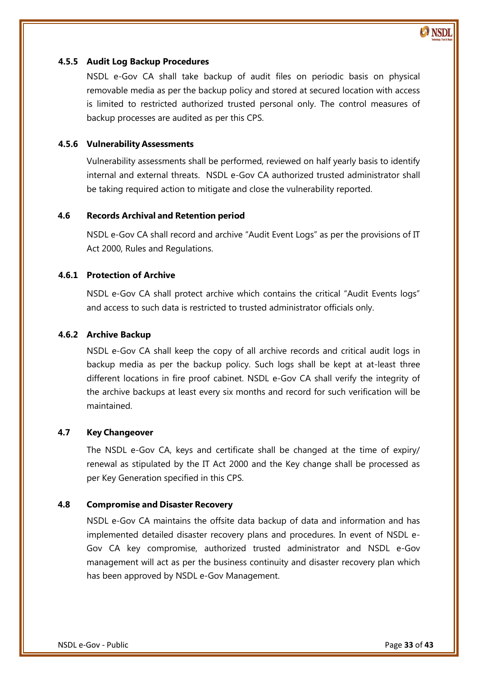#### <span id="page-32-0"></span>**4.5.5 Audit Log Backup Procedures**

NSDL e-Gov CA shall take backup of audit files on periodic basis on physical removable media as per the backup policy and stored at secured location with access is limited to restricted authorized trusted personal only. The control measures of backup processes are audited as per this CPS.

#### <span id="page-32-1"></span>**4.5.6 Vulnerability Assessments**

Vulnerability assessments shall be performed, reviewed on half yearly basis to identify internal and external threats. NSDL e-Gov CA authorized trusted administrator shall be taking required action to mitigate and close the vulnerability reported.

# <span id="page-32-2"></span>**4.6 Records Archival and Retention period**

NSDL e-Gov CA shall record and archive 'Audit Event Logs' as per the provisions of IT Act 2000, Rules and Regulations.

#### <span id="page-32-3"></span>**4.6.1 Protection of Archive**

NSDL e-Gov CA shall protect archive which contains the critical 'Audit Events logs' and access to such data is restricted to trusted administrator officials only.

#### <span id="page-32-4"></span>**4.6.2 Archive Backup**

NSDL e-Gov CA shall keep the copy of all archive records and critical audit logs in backup media as per the backup policy. Such logs shall be kept at at-least three different locations in fire proof cabinet. NSDL e-Gov CA shall verify the integrity of the archive backups at least every six months and record for such verification will be maintained.

#### <span id="page-32-5"></span>**4.7 Key Changeover**

The NSDL e-Gov CA, keys and certificate shall be changed at the time of expiry/ renewal as stipulated by the IT Act 2000 and the Key change shall be processed as per Key Generation specified in this CPS.

#### <span id="page-32-6"></span>**4.8 Compromise and Disaster Recovery**

NSDL e-Gov CA maintains the offsite data backup of data and information and has implemented detailed disaster recovery plans and procedures. In event of NSDL e-Gov CA key compromise, authorized trusted administrator and NSDL e-Gov management will act as per the business continuity and disaster recovery plan which has been approved by NSDL e-Gov Management.

 $\odot$  NSD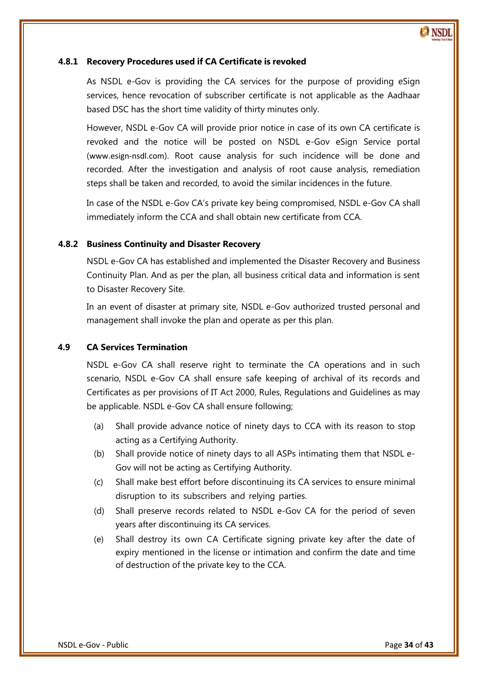

#### <span id="page-33-0"></span>**4.8.1 Recovery Procedures used if CA Certificate is revoked**

As NSDL e-Gov is providing the CA services for the purpose of providing eSign services, hence revocation of subscriber certificate is not applicable as the Aadhaar based DSC has the short time validity of thirty minutes only.

However, NSDL e-Gov CA will provide prior notice in case of its own CA certificate is revoked and the notice will be posted on NSDL e-Gov eSign Service portal ([www.esign-nsdl.com](http://www.esign-nsdl.com/)). Root cause analysis for such incidence will be done and recorded. After the investigation and analysis of root cause analysis, remediation steps shall be taken and recorded, to avoid the similar incidences in the future.

In case of the NSDL e-Gov CA's private key being compromised, NSDL e-Gov CA shall immediately inform the CCA and shall obtain new certificate from CCA.

#### <span id="page-33-1"></span>**4.8.2 Business Continuity and Disaster Recovery**

NSDL e-Gov CA has established and implemented the Disaster Recovery and Business Continuity Plan. And as per the plan, all business critical data and information is sent to Disaster Recovery Site.

In an event of disaster at primary site, NSDL e-Gov authorized trusted personal and management shall invoke the plan and operate as per this plan.

#### <span id="page-33-2"></span>**4.9 CA Services Termination**

NSDL e-Gov CA shall reserve right to terminate the CA operations and in such scenario, NSDL e-Gov CA shall ensure safe keeping of archival of its records and Certificates as per provisions of IT Act 2000, Rules, Regulations and Guidelines as may be applicable. NSDL e-Gov CA shall ensure following;

- (a) Shall provide advance notice of ninety days to CCA with its reason to stop acting as a Certifying Authority.
- (b) Shall provide notice of ninety days to all ASPs intimating them that NSDL e-Gov will not be acting as Certifying Authority.
- (c) Shall make best effort before discontinuing its CA services to ensure minimal disruption to its subscribers and relying parties.
- (d) Shall preserve records related to NSDL e-Gov CA for the period of seven years after discontinuing its CA services.
- (e) Shall destroy its own CA Certificate signing private key after the date of expiry mentioned in the license or intimation and confirm the date and time of destruction of the private key to the CCA.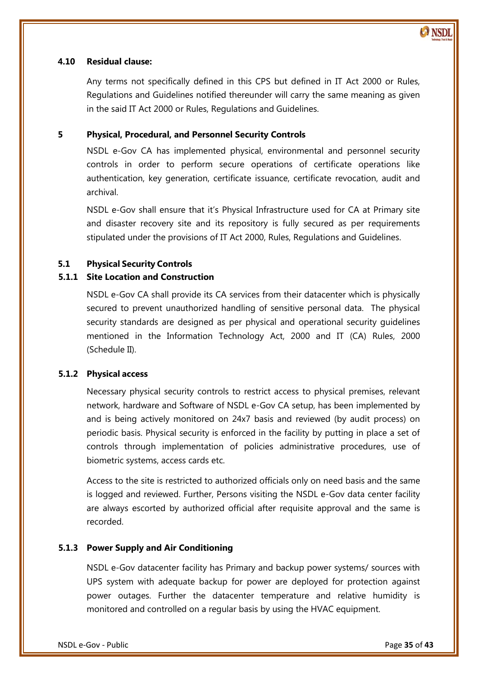

#### <span id="page-34-0"></span>**4.10 Residual clause:**

Any terms not specifically defined in this CPS but defined in IT Act 2000 or Rules, Regulations and Guidelines notified thereunder will carry the same meaning as given in the said IT Act 2000 or Rules, Regulations and Guidelines.

# <span id="page-34-1"></span>**5 Physical, Procedural, and Personnel Security Controls**

NSDL e-Gov CA has implemented physical, environmental and personnel security controls in order to perform secure operations of certificate operations like authentication, key generation, certificate issuance, certificate revocation, audit and archival.

NSDL e-Gov shall ensure that it's Physical Infrastructure used for CA at Primary site and disaster recovery site and its repository is fully secured as per requirements stipulated under the provisions of IT Act 2000, Rules, Regulations and Guidelines.

#### <span id="page-34-2"></span>**5.1 Physical Security Controls**

#### <span id="page-34-3"></span>**5.1.1 Site Location and Construction**

NSDL e-Gov CA shall provide its CA services from their datacenter which is physically secured to prevent unauthorized handling of sensitive personal data. The physical security standards are designed as per physical and operational security guidelines mentioned in the Information Technology Act, 2000 and IT (CA) Rules, 2000 (Schedule II).

#### <span id="page-34-4"></span>**5.1.2 Physical access**

Necessary physical security controls to restrict access to physical premises, relevant network, hardware and Software of NSDL e-Gov CA setup, has been implemented by and is being actively monitored on 24x7 basis and reviewed (by audit process) on periodic basis. Physical security is enforced in the facility by putting in place a set of controls through implementation of policies administrative procedures, use of biometric systems, access cards etc.

Access to the site is restricted to authorized officials only on need basis and the same is logged and reviewed. Further, Persons visiting the NSDL e-Gov data center facility are always escorted by authorized official after requisite approval and the same is recorded.

#### <span id="page-34-5"></span>**5.1.3 Power Supply and Air Conditioning**

NSDL e-Gov datacenter facility has Primary and backup power systems/ sources with UPS system with adequate backup for power are deployed for protection against power outages. Further the datacenter temperature and relative humidity is monitored and controlled on a regular basis by using the HVAC equipment.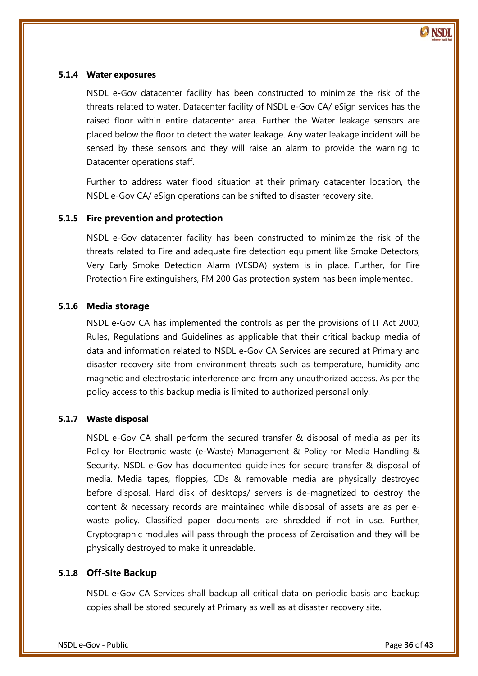

#### <span id="page-35-0"></span>**5.1.4 Water exposures**

NSDL e-Gov datacenter facility has been constructed to minimize the risk of the threats related to water. Datacenter facility of NSDL e-Gov CA/ eSign services has the raised floor within entire datacenter area. Further the Water leakage sensors are placed below the floor to detect the water leakage. Any water leakage incident will be sensed by these sensors and they will raise an alarm to provide the warning to Datacenter operations staff.

Further to address water flood situation at their primary datacenter location, the NSDL e-Gov CA/ eSign operations can be shifted to disaster recovery site.

#### <span id="page-35-1"></span>**5.1.5 Fire prevention and protection**

NSDL e-Gov datacenter facility has been constructed to minimize the risk of the threats related to Fire and adequate fire detection equipment like Smoke Detectors, Very Early Smoke Detection Alarm (VESDA) system is in place. Further, for Fire Protection Fire extinguishers, FM 200 Gas protection system has been implemented.

#### <span id="page-35-2"></span>**5.1.6 Media storage**

 Rules, Regulations and Guidelines as applicable that their critical backup media of NSDL e-Gov CA has implemented the controls as per the provisions of IT Act 2000, data and information related to NSDL e-Gov CA Services are secured at Primary and disaster recovery site from environment threats such as temperature, humidity and magnetic and electrostatic interference and from any unauthorized access. As per the policy access to this backup media is limited to authorized personal only.

#### <span id="page-35-3"></span>**5.1.7 Waste disposal**

NSDL e-Gov CA shall perform the secured transfer & disposal of media as per its Policy for Electronic waste (e-Waste) Management & Policy for Media Handling & Security, NSDL e-Gov has documented guidelines for secure transfer & disposal of media. Media tapes, floppies, CDs & removable media are physically destroyed before disposal. Hard disk of desktops/ servers is de-magnetized to destroy the content & necessary records are maintained while disposal of assets are as per ewaste policy. Classified paper documents are shredded if not in use. Further, Cryptographic modules will pass through the process of Zeroisation and they will be physically destroyed to make it unreadable.

#### <span id="page-35-4"></span>**5.1.8 Off-Site Backup**

NSDL e-Gov CA Services shall backup all critical data on periodic basis and backup copies shall be stored securely at Primary as well as at disaster recovery site.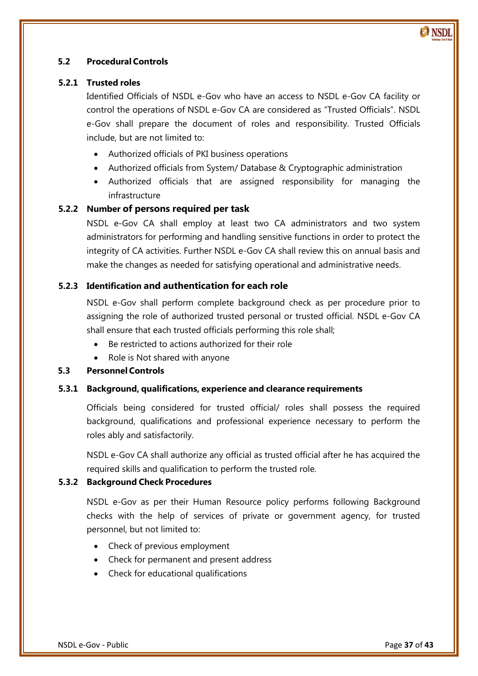# <span id="page-36-0"></span>**5.2 Procedural Controls**

# <span id="page-36-1"></span>**5.2.1 Trusted roles**

Identified Officials of NSDL e-Gov who have an access to NSDL e-Gov CA facility or control the operations of NSDL e-Gov CA are considered as 'Trusted Officials'. NSDL e-Gov shall prepare the document of roles and responsibility. Trusted Officials include, but are not limited to:

- Authorized officials of PKI business operations
- Authorized officials from System/ Database & Cryptographic administration
- Authorized officials that are assigned responsibility for managing the infrastructure

# <span id="page-36-2"></span>**5.2.2 Number of persons required per task**

NSDL e-Gov CA shall employ at least two CA administrators and two system administrators for performing and handling sensitive functions in order to protect the integrity of CA activities. Further NSDL e-Gov CA shall review this on annual basis and make the changes as needed for satisfying operational and administrative needs.

# <span id="page-36-3"></span>**5.2.3 Identification and authentication for each role**

NSDL e-Gov shall perform complete background check as per procedure prior to assigning the role of authorized trusted personal or trusted official. NSDL e-Gov CA shall ensure that each trusted officials performing this role shall;

- Be restricted to actions authorized for their role
- Role is Not shared with anyone

# <span id="page-36-4"></span>**5.3 Personnel Controls**

#### <span id="page-36-5"></span>**5.3.1 Background, qualifications, experience and clearance requirements**

Officials being considered for trusted official/ roles shall possess the required background, qualifications and professional experience necessary to perform the roles ably and satisfactorily.

NSDL e-Gov CA shall authorize any official as trusted official after he has acquired the required skills and qualification to perform the trusted role.

#### <span id="page-36-6"></span>**5.3.2 Background Check Procedures**

NSDL e-Gov as per their Human Resource policy performs following Background checks with the help of services of private or government agency, for trusted personnel, but not limited to:

- Check of previous employment
- Check for permanent and present address
- Check for educational qualifications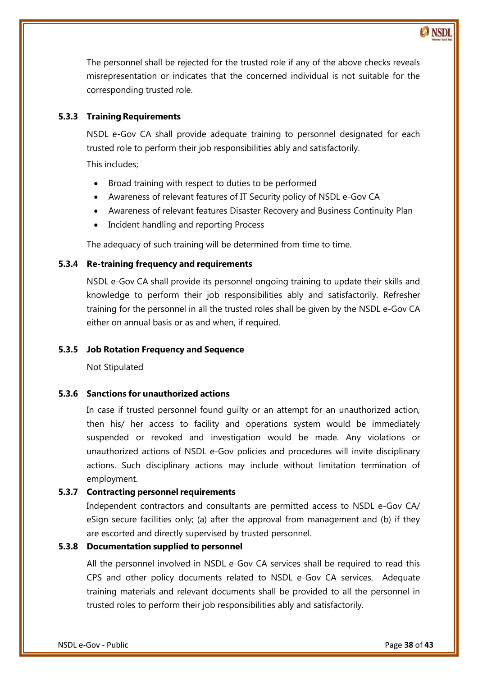The personnel shall be rejected for the trusted role if any of the above checks reveals misrepresentation or indicates that the concerned individual is not suitable for the corresponding trusted role.

# <span id="page-37-0"></span>**5.3.3 Training Requirements**

NSDL e-Gov CA shall provide adequate training to personnel designated for each trusted role to perform their job responsibilities ably and satisfactorily.

This includes;

- Broad training with respect to duties to be performed
- Awareness of relevant features of IT Security policy of NSDL e-Gov CA
- Awareness of relevant features Disaster Recovery and Business Continuity Plan
- Incident handling and reporting Process

The adequacy of such training will be determined from time to time.

# <span id="page-37-1"></span>**5.3.4 Re-training frequency and requirements**

NSDL e-Gov CA shall provide its personnel ongoing training to update their skills and knowledge to perform their job responsibilities ably and satisfactorily. Refresher training for the personnel in all the trusted roles shall be given by the NSDL e-Gov CA either on annual basis or as and when, if required.

# <span id="page-37-2"></span>**5.3.5 Job Rotation Frequency and Sequence**

Not Stipulated

# <span id="page-37-3"></span>**5.3.6 Sanctions for unauthorized actions**

In case if trusted personnel found guilty or an attempt for an unauthorized action, then his/ her access to facility and operations system would be immediately suspended or revoked and investigation would be made. Any violations or unauthorized actions of NSDL e-Gov policies and procedures will invite disciplinary actions. Such disciplinary actions may include without limitation termination of employment.

# <span id="page-37-4"></span>**5.3.7 Contracting personnelrequirements**

Independent contractors and consultants are permitted access to NSDL e-Gov CA/ eSign secure facilities only; (a) after the approval from management and (b) if they are escorted and directly supervised by trusted personnel.

# <span id="page-37-5"></span>**5.3.8 Documentation supplied to personnel**

All the personnel involved in NSDL e-Gov CA services shall be required to read this CPS and other policy documents related to NSDL e-Gov CA services. Adequate training materials and relevant documents shall be provided to all the personnel in trusted roles to perform their job responsibilities ably and satisfactorily.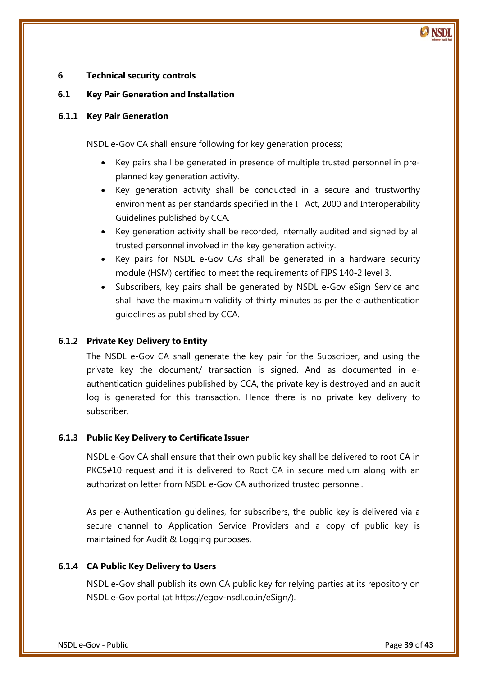# <span id="page-38-0"></span>**6 Technical security controls**

# <span id="page-38-1"></span>**6.1 Key Pair Generation and Installation**

#### <span id="page-38-2"></span>**6.1.1 Key Pair Generation**

NSDL e-Gov CA shall ensure following for key generation process;

- Key pairs shall be generated in presence of multiple trusted personnel in preplanned key generation activity.
- Key generation activity shall be conducted in a secure and trustworthy environment as per standards specified in the IT Act, 2000 and Interoperability Guidelines published by CCA.
- Key generation activity shall be recorded, internally audited and signed by all trusted personnel involved in the key generation activity.
- Key pairs for NSDL e-Gov CAs shall be generated in a hardware security module (HSM) certified to meet the requirements of FIPS 140-2 level 3.
- Subscribers, key pairs shall be generated by NSDL e-Gov eSign Service and shall have the maximum validity of thirty minutes as per the e-authentication guidelines as published by CCA.

# <span id="page-38-3"></span>**6.1.2 Private Key Delivery to Entity**

The NSDL e-Gov CA shall generate the key pair for the Subscriber, and using the private key the document/ transaction is signed. And as documented in eauthentication guidelines published by CCA, the private key is destroyed and an audit log is generated for this transaction. Hence there is no private key delivery to subscriber.

# <span id="page-38-4"></span>**6.1.3 Public Key Delivery to Certificate Issuer**

NSDL e-Gov CA shall ensure that their own public key shall be delivered to root CA in PKCS#10 request and it is delivered to Root CA in secure medium along with an authorization letter from NSDL e-Gov CA authorized trusted personnel.

As per e-Authentication guidelines, for subscribers, the public key is delivered via a secure channel to Application Service Providers and a copy of public key is maintained for Audit & Logging purposes.

# <span id="page-38-5"></span>**6.1.4 CA Public Key Delivery to Users**

NSDL e-Gov shall publish its own CA public key for relying parties at its repository on NSDL e-Gov portal (at [https://egov-nsdl.co.in/eSign/\)](http://www.esign-nsdl.com/).

 $\odot$  NSDI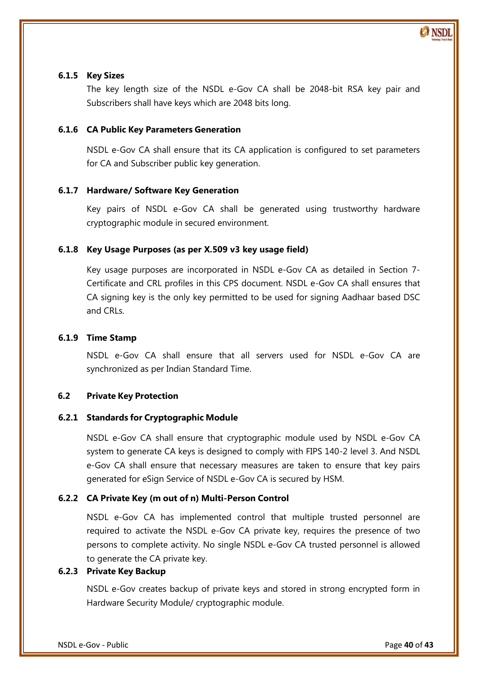# <span id="page-39-0"></span>**6.1.5 Key Sizes**

The key length size of the NSDL e-Gov CA shall be 2048-bit RSA key pair and Subscribers shall have keys which are 2048 bits long.

# <span id="page-39-1"></span>**6.1.6 CA Public Key Parameters Generation**

NSDL e-Gov CA shall ensure that its CA application is configured to set parameters for CA and Subscriber public key generation.

# <span id="page-39-2"></span>**6.1.7 Hardware/ Software Key Generation**

Key pairs of NSDL e-Gov CA shall be generated using trustworthy hardware cryptographic module in secured environment.

# <span id="page-39-3"></span>**6.1.8 Key Usage Purposes (as per X.509 v3 key usage field)**

Key usage purposes are incorporated in NSDL e-Gov CA as detailed in Section 7- Certificate and CRL profiles in this CPS document. NSDL e-Gov CA shall ensures that CA signing key is the only key permitted to be used for signing Aadhaar based DSC and CRLs.

#### <span id="page-39-4"></span>**6.1.9 Time Stamp**

NSDL e-Gov CA shall ensure that all servers used for NSDL e-Gov CA are synchronized as per Indian Standard Time.

# <span id="page-39-5"></span>**6.2 Private Key Protection**

# <span id="page-39-6"></span>**6.2.1 Standards for Cryptographic Module**

NSDL e-Gov CA shall ensure that cryptographic module used by NSDL e-Gov CA system to generate CA keys is designed to comply with FIPS 140-2 level 3. And NSDL e-Gov CA shall ensure that necessary measures are taken to ensure that key pairs generated for eSign Service of NSDL e-Gov CA is secured by HSM.

# <span id="page-39-7"></span>**6.2.2 CA Private Key (m out of n) Multi-Person Control**

NSDL e-Gov CA has implemented control that multiple trusted personnel are required to activate the NSDL e-Gov CA private key, requires the presence of two persons to complete activity. No single NSDL e-Gov CA trusted personnel is allowed to generate the CA private key.

# <span id="page-39-8"></span>**6.2.3 Private Key Backup**

NSDL e-Gov creates backup of private keys and stored in strong encrypted form in Hardware Security Module/ cryptographic module.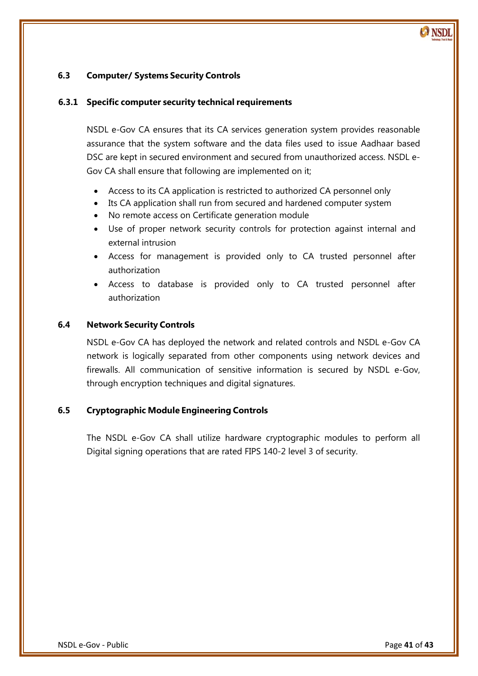# <span id="page-40-0"></span>**6.3 Computer/ Systems Security Controls**

#### <span id="page-40-1"></span>**6.3.1 Specific computer security technical requirements**

NSDL e-Gov CA ensures that its CA services generation system provides reasonable assurance that the system software and the data files used to issue Aadhaar based DSC are kept in secured environment and secured from unauthorized access. NSDL e-Gov CA shall ensure that following are implemented on it;

- Access to its CA application is restricted to authorized CA personnel only
- Its CA application shall run from secured and hardened computer system
- No remote access on Certificate generation module
- Use of proper network security controls for protection against internal and external intrusion
- Access for management is provided only to CA trusted personnel after authorization
- Access to database is provided only to CA trusted personnel after authorization

#### <span id="page-40-2"></span>**6.4 Network Security Controls**

 NSDL e-Gov CA has deployed the network and related controls and NSDL e-Gov CA network is logically separated from other components using network devices and firewalls. All communication of sensitive information is secured by NSDL e-Gov, through encryption techniques and digital signatures.

#### <span id="page-40-3"></span>**6.5 Cryptographic Module Engineering Controls**

The NSDL e-Gov CA shall utilize hardware cryptographic modules to perform all Digital signing operations that are rated FIPS 140-2 level 3 of security.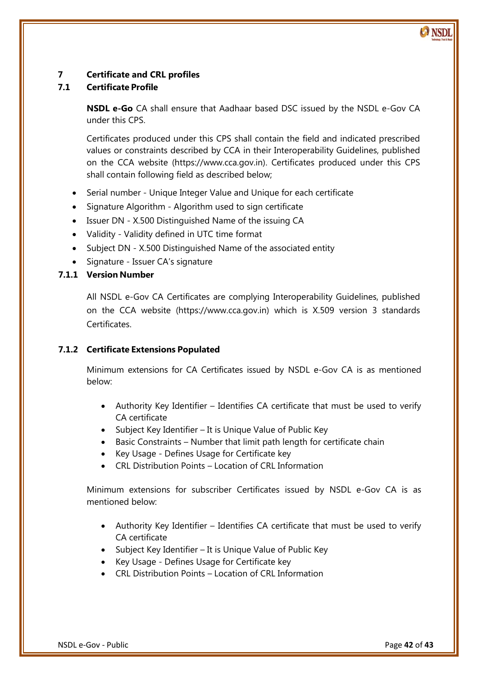# <span id="page-41-0"></span>**7 Certificate and CRL profiles**

# <span id="page-41-1"></span>**7.1 Certificate Profile**

**NSDL e-Go** CA shall ensure that Aadhaar based DSC issued by the NSDL e-Gov CA under this CPS.

Certificates produced under this CPS shall contain the field and indicated prescribed values or constraints described by CCA in their Interoperability Guidelines, published on the CCA website (https://www.cca.gov.in). Certificates produced under this CPS shall contain following field as described below;

- Serial number Unique Integer Value and Unique for each certificate
- Signature Algorithm Algorithm used to sign certificate
- Issuer DN X.500 Distinguished Name of the issuing CA
- Validity Validity defined in UTC time format
- Subject DN X.500 Distinguished Name of the associated entity
- Signature Issuer CA's signature

# <span id="page-41-2"></span>**7.1.1 Version Number**

All NSDL e-Gov CA Certificates are complying Interoperability Guidelines, published on the CCA website (https://www.cca.gov.in) which is X.509 version 3 standards Certificates.

# <span id="page-41-3"></span>**7.1.2 Certificate Extensions Populated**

Minimum extensions for CA Certificates issued by NSDL e-Gov CA is as mentioned below:

- Authority Key Identifier Identifies CA certificate that must be used to verify CA certificate
- Subject Key Identifier It is Unique Value of Public Key
- Basic Constraints Number that limit path length for certificate chain
- Key Usage Defines Usage for Certificate key
- CRL Distribution Points Location of CRL Information

Minimum extensions for subscriber Certificates issued by NSDL e-Gov CA is as mentioned below:

- Authority Key Identifier Identifies CA certificate that must be used to verify CA certificate
- Subject Key Identifier It is Unique Value of Public Key
- Key Usage Defines Usage for Certificate key
- CRL Distribution Points Location of CRL Information

**CANSDI**